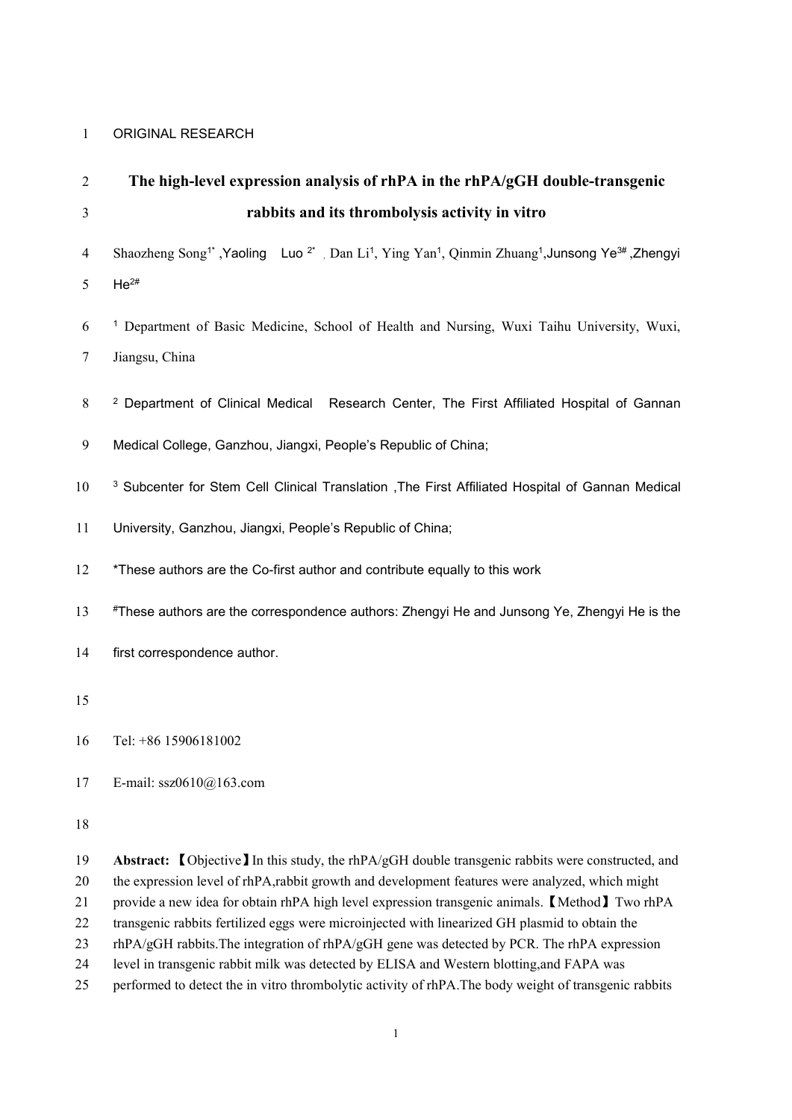# 1 ORIGINAL RESEARCH

| $\overline{2}$ | The high-level expression analysis of rhPA in the rhPA/gGH double-transgenic                                                                                                                               |
|----------------|------------------------------------------------------------------------------------------------------------------------------------------------------------------------------------------------------------|
| 3              | rabbits and its thrombolysis activity in vitro                                                                                                                                                             |
| $\overline{4}$ | Shaozheng Song <sup>1*</sup> , Yaoling Luo <sup>2*</sup> , Dan Li <sup>1</sup> , Ying Yan <sup>1</sup> , Qinmin Zhuang <sup>1</sup> , Junsong Ye <sup>3#</sup> , Zhengyi                                   |
| 5              | $He^{2#}$                                                                                                                                                                                                  |
| 6              | <sup>1</sup> Department of Basic Medicine, School of Health and Nursing, Wuxi Taihu University, Wuxi,                                                                                                      |
| $\overline{7}$ | Jiangsu, China                                                                                                                                                                                             |
| 8              | <sup>2</sup> Department of Clinical Medical Research Center, The First Affiliated Hospital of Gannan                                                                                                       |
| 9              | Medical College, Ganzhou, Jiangxi, People's Republic of China;                                                                                                                                             |
| 10             | <sup>3</sup> Subcenter for Stem Cell Clinical Translation , The First Affiliated Hospital of Gannan Medical                                                                                                |
| 11             | University, Ganzhou, Jiangxi, People's Republic of China;                                                                                                                                                  |
| 12             | *These authors are the Co-first author and contribute equally to this work                                                                                                                                 |
| 13             | #These authors are the correspondence authors: Zhengyi He and Junsong Ye, Zhengyi He is the                                                                                                                |
| 14             | first correspondence author.                                                                                                                                                                               |
| 15             |                                                                                                                                                                                                            |
| 16             | Tel: +86 15906181002                                                                                                                                                                                       |
| 17             | E-mail: $ssz0610@163.com$                                                                                                                                                                                  |
| 18             |                                                                                                                                                                                                            |
| 19<br>20       | <b>Abstract:</b> (Objective) In this study, the rhPA/gGH double transgenic rabbits were constructed, and<br>the expression level of rhPA,rabbit growth and development features were analyzed, which might |

21 provide a new idea for obtain rhPA high level expression transgenic animals.【Method】Two rhPA

22 transgenic rabbits fertilized eggs were microinjected with linearized GH plasmid to obtain the

23 rhPA/gGH rabbits. The integration of rhPA/gGH gene was detected by PCR. The rhPA expression

24 level in transgenic rabbit milk was detected by ELISA and Western blotting,and FAPA was

25 performed to detect the in vitro thrombolytic activity of rhPA.The body weight of transgenic rabbits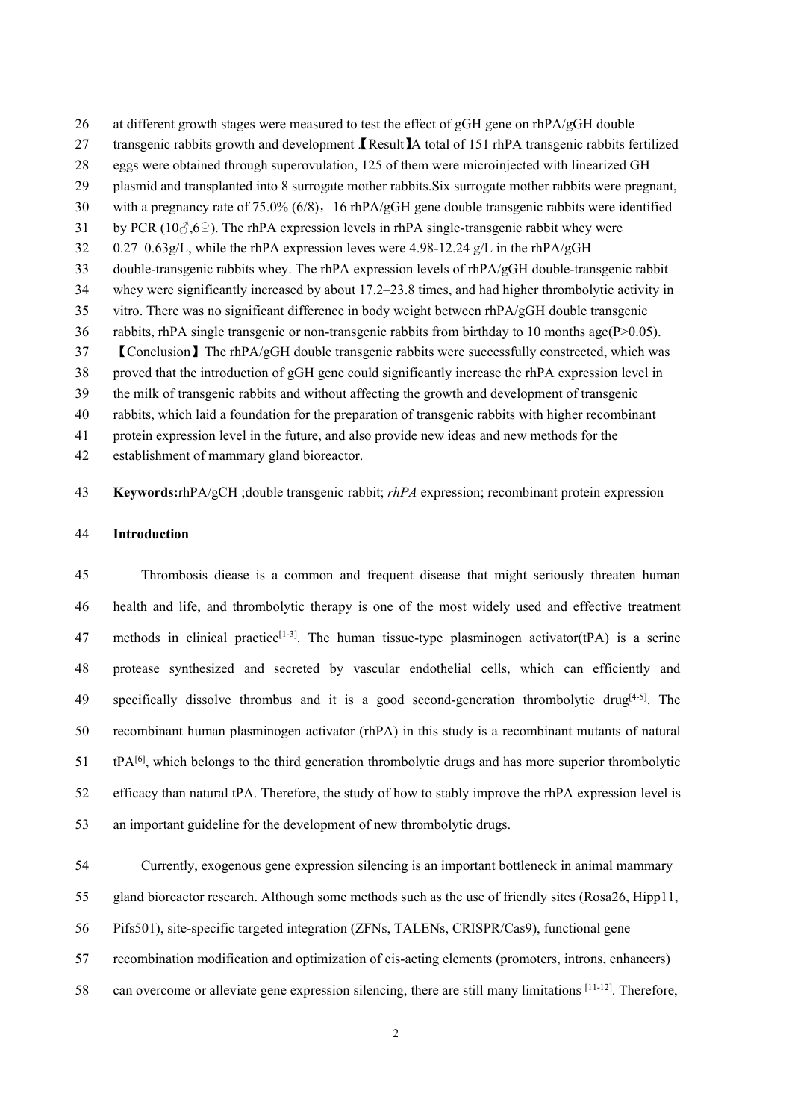26 at different growth stages were measured to test the effect of gGH gene on rhPA/gGH double 27 transgenic rabbits growth and development **[Result**] A total of 151 rhPA transgenic rabbits fertilized eggs were obtained through superovulation, 125 of them were microinjected with linearized GH plasmid and transplanted into 8 surrogate mother rabbits.Six surrogate mother rabbits were pregnant, 30 with a pregnancy rate of 75.0% (6/8), 16 rhPA/gGH gene double transgenic rabbits were identified 31 by PCR (10 $\Im$ ,6 $\Im$ ). The rhPA expression levels in rhPA single-transgenic rabbit whey were 32 0.27–0.63g/L, while the rhPA expression leves were 4.98-12.24 g/L in the rhPA/gGH 33 double-transgenic rabbits whey. The rhPA expression levels of rhPA/gGH double-transgenic rabbit whey were significantly increased by about 17.2–23.8 times, and had higher thrombolytic activity in vitro. There was no significant difference in body weight between rhPA/gGH double transgenic 36 rabbits, rhPA single transgenic or non-transgenic rabbits from birthday to 10 months age( $P > 0.05$ ). 【Conclusion】The rhPA/gGH double transgenic rabbits were successfully constrected, which was proved that the introduction of gGH gene could significantly increase the rhPA expression level in the milk of transgenic rabbits and without affecting the growth and development of transgenic rabbits, which laid a foundation for the preparation of transgenic rabbits with higher recombinant protein expression level in the future, and also provide new ideas and new methods for the establishment of mammary gland bioreactor.

**Keywords:**rhPA/gCH ;double transgenic rabbit; *rhPA* expression; recombinant protein expression

#### **Introduction**

 Thrombosis diease is a common and frequent disease that might seriously threaten human health and life, and thrombolytic therapy is one of the most widely used and effective treatment 47 methods in clinical practice<sup>[1-3]</sup>. The human tissue-type plasminogen activator(tPA) is a serine protease synthesized and secreted by vascular endothelial cells, which can efficiently and 49 specifically dissolve thrombus and it is a good second-generation thrombolytic drug<sup>[4-5]</sup>. The recombinant human plasminogen activator (rhPA) in this study is a recombinant mutants of natural 51 tPA<sup>[6]</sup>, which belongs to the third generation thrombolytic drugs and has more superior thrombolytic efficacy than natural tPA. Therefore, the study of how to stably improve the rhPA expression level is an important guideline for the development of new thrombolytic drugs.

Currently, exogenous gene expression silencing is an important bottleneck in animal mammary

gland bioreactor research. Although some methods such as the use of friendly sites (Rosa26, Hipp11,

Pifs501), site-specific targeted integration (ZFNs, TALENs, CRISPR/Cas9), functional gene

recombination modification and optimization of cis-acting elements (promoters, introns, enhancers)

58 can overcome or alleviate gene expression silencing, there are still many limitations [11-12]. Therefore,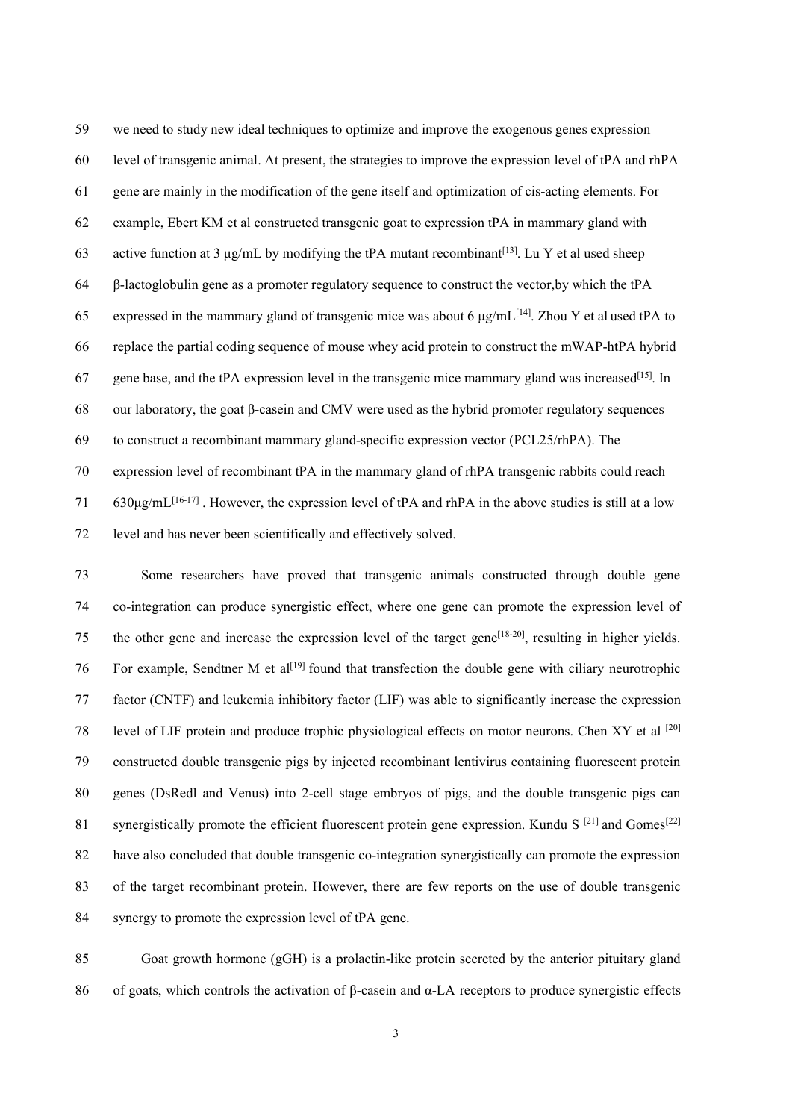we need to study new ideal techniques to optimize and improve the exogenous genes expression level of transgenic animal. At present, the strategies to improve the expression level of tPA and rhPA gene are mainly in the modification of the gene itself and optimization of cis-acting elements. For example, Ebert KM et al constructed transgenic goat to expression tPA in mammary gland with 63 active function at 3  $\mu$ g/mL by modifying the tPA mutant recombinant<sup>[13]</sup>. Lu Y et al used sheep β-lactoglobulin gene asa promoter regulatory sequence to construct the vector,by which the tPA 65 expressed in the mammary gland of transgenic mice was about 6  $\mu$ g/mL<sup>[14]</sup>. Zhou Y et al used tPA to replace the partial coding sequence of mouse whey acid protein to construct the mWAP-htPA hybrid 67 gene base, and the tPA expression level in the transgenic mice mammary gland was increased<sup>[15]</sup>. In our laboratory, the goat β-casein and CMV were used as the hybrid promoter regulatory sequences to construct a recombinant mammary gland-specific expression vector (PCL25/rhPA). The expression level of recombinant tPA in the mammary gland of rhPA transgenic rabbits could reach 71 630μg/mL<sup>[16-17]</sup>. However, the expression level of tPA and rhPA in the above studies is still at a low level and has never been scientifically and effectively solved.

 Some researchers have proved that transgenic animals constructed through double gene co-integration can produce synergistic effect, where one gene can promote the expression level of 75 the other gene and increase the expression level of the target gene<sup>[18-20]</sup>, resulting in higher yields. 76 For example, Sendtner M et al<sup>[19]</sup> found that transfection the double gene with ciliary neurotrophic factor (CNTF) and leukemia inhibitory factor (LIF) was able to significantly increase the expression 78 level of LIF protein and produce trophic physiological effects on motor neurons. Chen XY et al <sup>[20]</sup> constructed double transgenic pigs by injected recombinant lentivirus containing fluorescent protein genes (DsRedl and Venus) into 2-cell stage embryos of pigs, and the double transgenic pigs can 81 synergistically promote the efficient fluorescent protein gene expression. Kundu S<sup>[21]</sup> and Gomes<sup>[22]</sup> have also concluded that double transgenic co-integration synergistically can promote the expression of the target recombinant protein. However, there are few reports on the use of double transgenic synergy to promote the expression level of tPA gene.

 Goat growth hormone (gGH) is a prolactin-like protein secreted by the anterior pituitary gland of goats, which controls the activation of β-casein and α-LA receptors to produce synergistic effects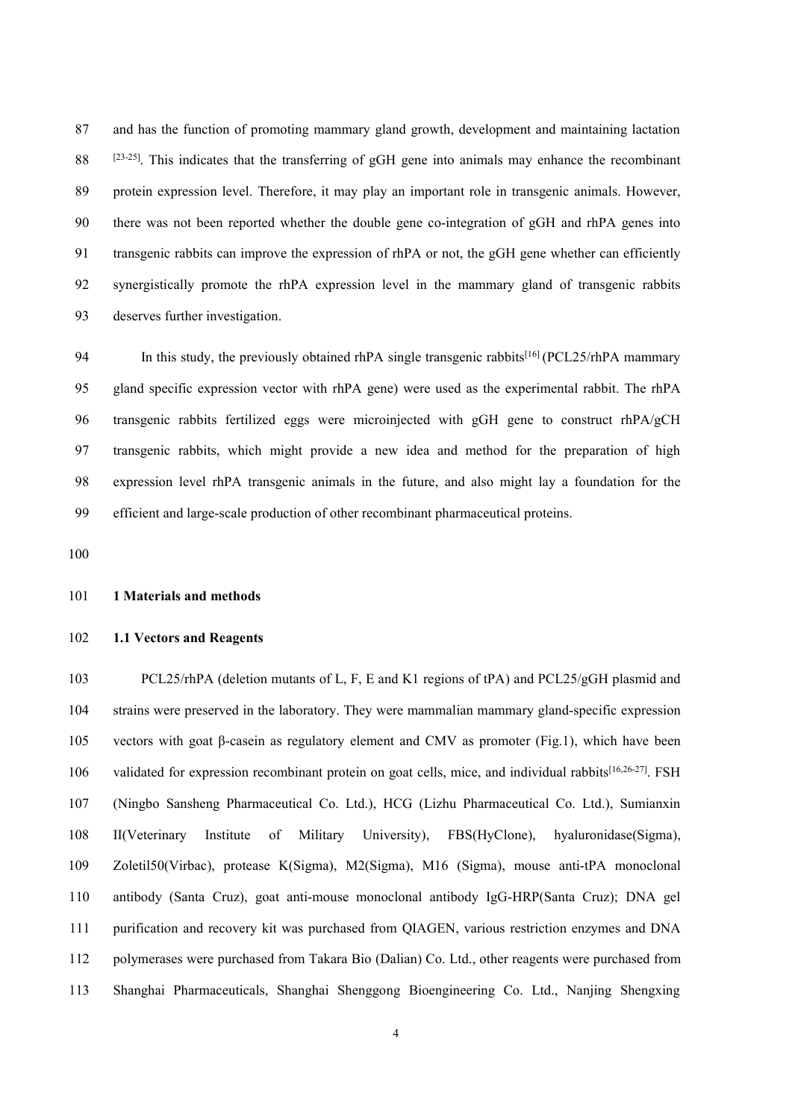and has the function of promoting mammary gland growth, development and maintaining lactation . <sup>[23-25]</sup> This indicates that the transferring of gGH gene into animals may enhance the recombinant 89 protein expression level. Therefore, it may play an important role in transgenic animals. However, there was not been reported whether the double gene co-integration of gGH and rhPA genes into transgenic rabbits can improve the expression of rhPA or not, the gGH gene whether can efficiently synergistically promote the rhPA expression level in the mammary gland of transgenic rabbits deserves further investigation.

94 In this study, the previously obtained rhPA single transgenic rabbits<sup>[16]</sup> (PCL25/rhPA mammary gland specific expression vector with rhPA gene) were used as the experimental rabbit. The rhPA transgenic rabbits fertilized eggs were microinjected with gGH gene to construct rhPA/gCH transgenic rabbits, which might provide a new idea andmethod for the preparation of high expression level rhPA transgenic animals in the future,and also might lay a foundation for the efficient and large-scale production of other recombinant pharmaceutical proteins.

# **1 Materials and methods**

## **1.1 Vectors and Reagents**

 PCL25/rhPA (deletion mutants of L, F, E and K1 regions of tPA) and PCL25/gGH plasmid and strains were preserved in the laboratory. They were mammalian mammary gland-specific expression vectors with goat β-casein as regulatory element and CMV as promoter (Fig.1), which have been 106 validated for expression recombinant protein on goat cells, mice, and individual rabbits<sup>[16,26-27]</sup>. FSH (Ningbo Sansheng Pharmaceutical Co. Ltd.), HCG (Lizhu Pharmaceutical Co. Ltd.), Sumianxin II(Veterinary Institute of Military University), FBS(HyClone), hyaluronidase(Sigma), Zoletil50(Virbac), protease K(Sigma), M2(Sigma), M16 (Sigma), mouse anti-tPA monoclonal antibody (Santa Cruz), goat anti-mouse monoclonal antibody IgG-HRP(Santa Cruz);DNA gel purification and recovery kit was purchased from QIAGEN, various restriction enzymes and DNA polymerases were purchased from Takara Bio (Dalian) Co. Ltd., other reagents were purchased from Shanghai Pharmaceuticals, Shanghai Shenggong Bioengineering Co. Ltd., Nanjing Shengxing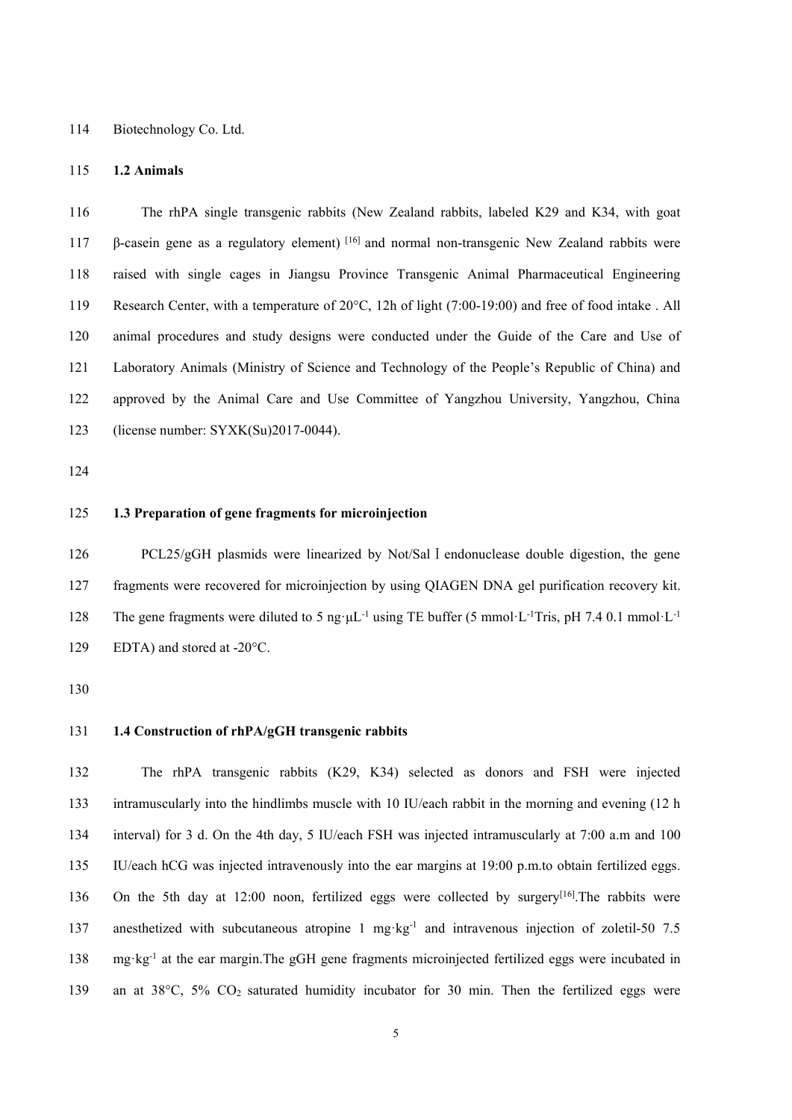Biotechnology Co. Ltd.

## **1.2 Animals**

 The rhPA single transgenic rabbits (New Zealand rabbits, labeled K29 and K34, with goat 117 β-casein gene as a regulatory element) <sup>[16]</sup> and normal non-transgenic New Zealand rabbits were raised with single cages in Jiangsu Province Transgenic Animal Pharmaceutical Engineering Research Center, with a temperature of 20°C, 12h of light (7:00-19:00) and free of food intake . All animal procedures and study designs were conducted under the Guide of the Care and Use of Laboratory Animals (Ministry of Science and Technology of the People's Republic of China) and approved by the Animal Care and Use Committee of Yangzhou University, Yangzhou, China (license number: SYXK(Su)2017-0044).

## **1.3 Preparation of gene fragments for microinjection**

126 PCL25/gGH plasmids were linearized by Not/Sal I endonuclease double digestion, the gene fragments were recovered for microinjection by using QIAGEN DNA gel purification recovery kit. 128 The gene fragments were diluted to 5 ng· $\mu$ L<sup>-1</sup> using TE buffer (5 mmol·L<sup>-1</sup>Tris, pH 7.4 0.1 mmol·L<sup>-1</sup> EDTA) and stored at -20°C.

## **1.4 Construction of rhPA/gGH transgenic rabbits**

 The rhPA transgenic rabbits (K29, K34) selected as donors and FSH were injected intramuscularly into the hindlimbs muscle with 10 IU/each rabbit in the morning and evening (12 h 134 interval) for 3 d. On the 4th day, 5 IU/each FSH was injected intramuscularly at 7:00 a.m and 100 IU/each hCG was injected intravenously into the ear margins at 19:00 p.m.to obtain fertilized eggs. 136 On the 5th day at 12:00 noon, fertilized eggs were collected by surgery<sup>[16]</sup>. The rabbits were 137 anesthetized with subcutaneous atropine 1 mg·kg<sup>-1</sup> and intravenous injection of zoletil-50 7.5 138 mg·kg<sup>-1</sup> at the ear margin.The gGH gene fragments microinjected fertilized eggs were incubated in 139 an at 38 $\degree$ C, 5% CO<sub>2</sub> saturated humidity incubator for 30 min. Then the fertilized eggs were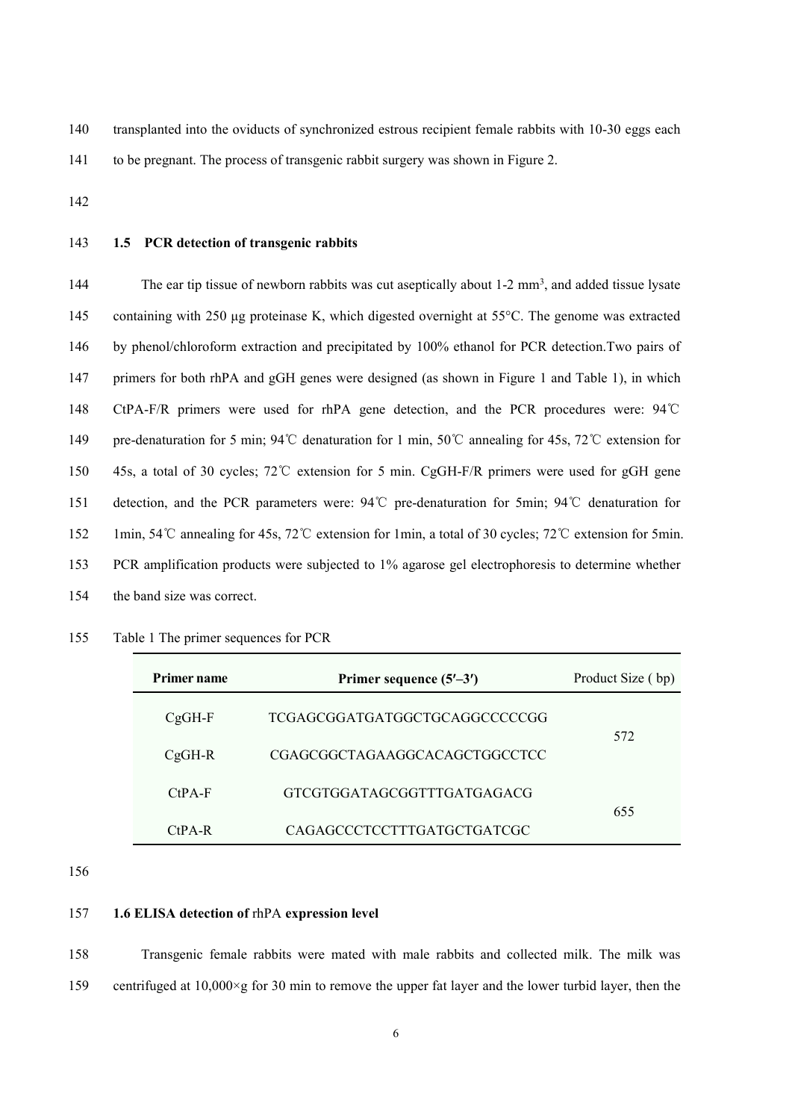140 transplanted into the oviducts of synchronized estrous recipient female rabbits with 10-30 eggs each 141 to be pregnant. The process of transgenic rabbit surgery was shown in Figure 2.

**1.5 PCR detection of transgenic rabbits**

The ear tip tissue of newborn rabbits was cut aseptically about  $1-2$  mm<sup>3</sup>, and added tissue lysate containing with 250 μg proteinase K, which digested overnight at 55°C. The genome was extracted by phenol/chloroform extraction and precipitated by 100% ethanol for PCR detection.Two pairs of primers for both rhPA and gGH genes were designed (as shown in Figure 1 and Table 1), in which CtPA-F/R primers were used for rhPA gene detection, and the PCR procedures were: 94℃ pre-denaturation for 5 min; 94℃ denaturation for 1 min, 50℃ annealing for 45s, 72℃ extension for 45s, a total of 30 cycles; 72℃ extension for 5 min. CgGH-F/R primers were used for gGH gene detection, and the PCR parameters were: 94℃ pre-denaturation for 5min; 94℃ denaturation for 1min, 54℃ annealing for 45s, 72℃ extension for 1min, a total of 30 cycles; 72℃ extension for 5min. PCR amplification products were subjected to 1% agarose gel electrophoresis to determine whether the band size was correct.

- **Primer name Primer sequence (5–3)** Product Size ( bp) CgGH-F TCGAGCGGATGATGGCTGCAGGCCCCCGG CgGH-R CGAGCGGCTAGAAGGCACAGCTGGCCTCC CtPA-F GTCGTGGATAGCGGTTTGATGAGACG CtPA-R CAGAGCCCTCCTTTGATGCTGATCGC
- Table 1 The primer sequences for PCR

## **1.6 ELISA detection of** rhPA **expression level**

 Transgenic female rabbits were mated with male rabbits and collected milk. The milk was 159 centrifuged at  $10,000 \times g$  for 30 min to remove the upper fat layer and the lower turbid layer, then the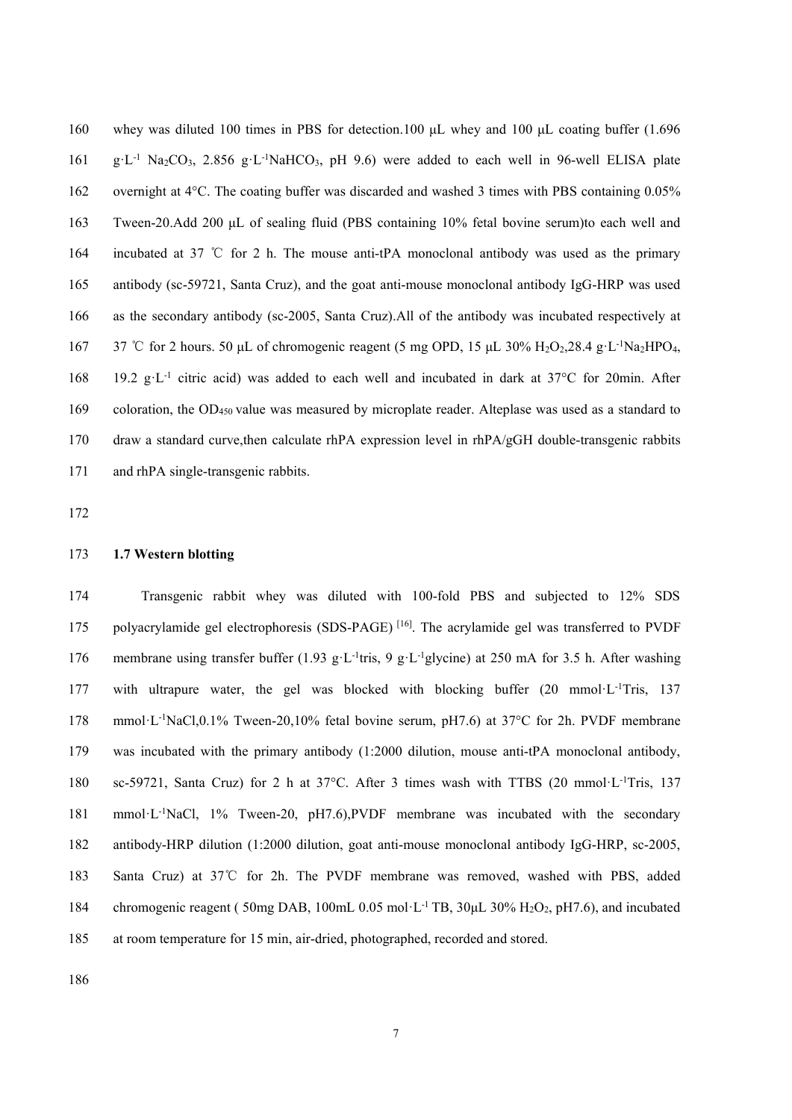whey was diluted 100 times in PBS for detection.100 μL whey and 100 μL coating buffer (1.696 g·L<sup>-1</sup> Na<sub>2</sub>CO<sub>3</sub>, 2.856 g·L<sup>-1</sup>NaHCO<sub>3</sub>, pH 9.6) were added to each well in 96-well ELISA plate overnight at 4°C. The coating buffer was discarded and washed 3 times with PBS containing 0.05% Tween-20.Add 200 μL of sealing fluid (PBS containing 10% fetal bovine serum)to each well and incubated at 37 ℃ for 2 h. The mouse anti-tPA monoclonal antibody was used as the primary antibody (sc-59721, Santa Cruz), and the goat anti-mouse monoclonal antibody IgG-HRP was used as the secondary antibody (sc-2005, Santa Cruz).All of the antibody was incubated respectively at 167 37 °C for 2 hours. 50 μL of chromogenic reagent (5 mg OPD, 15 μL 30% H<sub>2</sub>O<sub>2</sub>,28.4 g·L<sup>-1</sup>Na<sub>2</sub>HPO<sub>4</sub>, 168 19.2 g·L<sup>-1</sup> citric acid) was added to each well and incubated in dark at 37°C for 20min. After coloration, the OD<sup>450</sup> value was measured by microplate reader. Alteplase was used as a standard to draw a standard curve,then calculate rhPA expression level in rhPA/gGH double-transgenic rabbits and rhPA single-transgenic rabbits.

## **1.7 Western blotting**

 Transgenic rabbit whey was diluted with 100-fold PBS and subjected to 12% SDS 175 polyacrylamide gel electrophoresis (SDS-PAGE)<sup>[16]</sup>. The acrylamide gel was transferred to PVDF 176 membrane using transfer buffer (1.93 g·L<sup>-1</sup>tris, 9 g·L<sup>-1</sup>glycine) at 250 mA for 3.5 h. After washing 177 with ultrapure water, the gel was blocked with blocking buffer (20 mmol·L<sup>-1</sup>Tris, 137 178 mmol·L<sup>-1</sup>NaCl,0.1% Tween-20,10% fetal bovine serum, pH7.6) at 37°C for 2h. PVDF membrane was incubated with the primary antibody (1:2000 dilution, mouse anti-tPA monoclonal antibody, 180 sc-59721, Santa Cruz) for 2 h at  $37^{\circ}$ C. After 3 times wash with TTBS (20 mmol·L<sup>-1</sup>Tris, 137 181 mmol·L<sup>-1</sup>NaCl, 1% Tween-20, pH7.6),PVDF membrane was incubated with the secondary antibody-HRP dilution (1:2000 dilution, goat anti-mouse monoclonal antibody IgG-HRP, sc-2005, Santa Cruz) at 37℃ for 2h. The PVDF membrane was removed, washed with PBS, added 184 chromogenic reagent (50mg DAB, 100mL 0.05 mol·L<sup>-1</sup> TB, 30μL 30% H<sub>2</sub>O<sub>2</sub>, pH7.6), and incubated at room temperature for 15 min, air-dried, photographed, recorded and stored.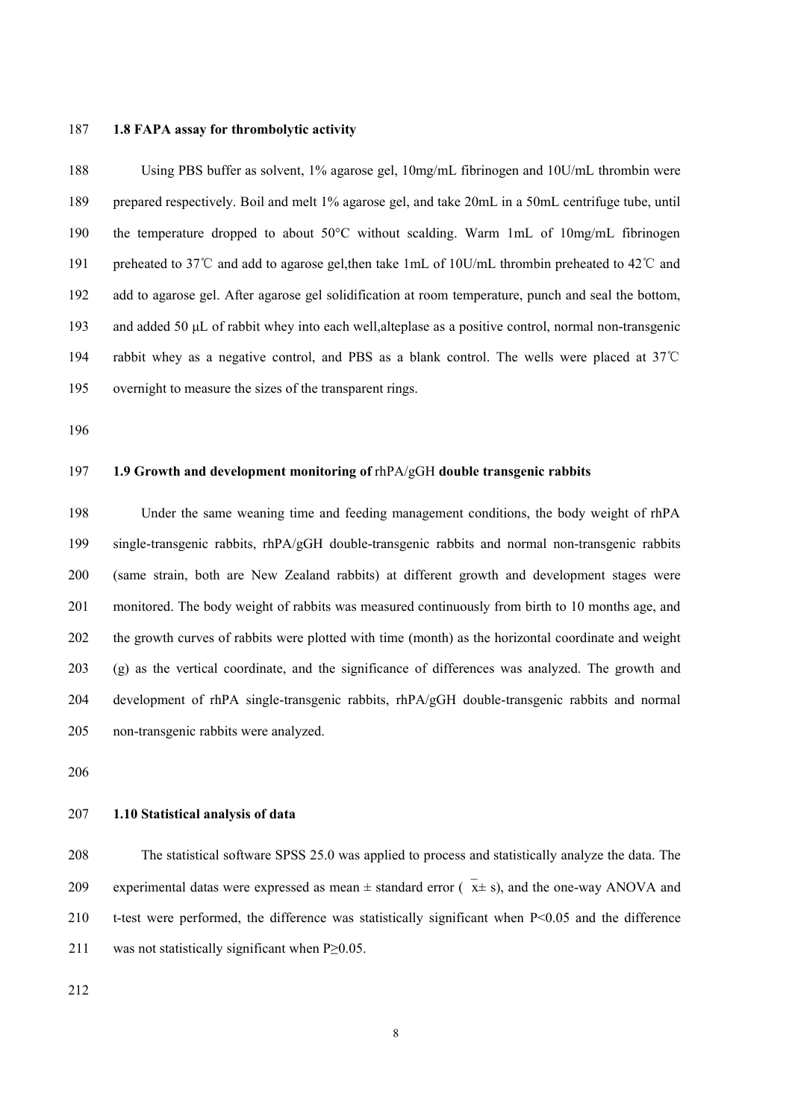## **1.8 FAPA assay for thrombolytic activity**

 Using PBS buffer as solvent, 1% agarose gel, 10mg/mL fibrinogen and 10U/mL thrombin were prepared respectively. Boil and melt 1% agarose gel, and take 20mL in a 50mL centrifuge tube, until the temperature dropped to about 50°C without scalding. Warm 1mL of 10mg/mL fibrinogen preheated to 37℃ and add to agarose gel,then take 1mL of 10U/mL thrombin preheated to 42℃ and add to agarose gel. After agarose gel solidification at room temperature, punch and seal the bottom, and added 50 μL of rabbit whey into each well,alteplase as a positive control, normal non-transgenic rabbit whey as a negative control, and PBS as ablank control. The wells were placed at 37℃ overnight to measure the sizes of the transparent rings.

## **1.9 Growth and development monitoring of** rhPA/gGH **double transgenic rabbits**

 Under the same weaning time and feeding management conditions, the body weight of rhPA single-transgenic rabbits, rhPA/gGH double-transgenic rabbits and normal non-transgenic rabbits (same strain, both are New Zealand rabbits) at different growth and development stages were monitored. The body weight of rabbits was measured continuously from birth to 10 months age, and the growth curves of rabbits were plotted with time (month) as the horizontal coordinate and weight (g) as the vertical coordinate, and the significance of differences was analyzed. The growth and development of rhPA single-transgenic rabbits, rhPA/gGH double-transgenic rabbits and normal non-transgenic rabbits were analyzed.

## **1.10 Statistical analysis ofdata**

 The statistical software SPSS 25.0 was applied to process and statistically analyze the data.The 209 experimental datas were expressed as mean  $\pm$  standard error ( $\bar{x}$ ± s), and the one-way ANOVA and t-test were performed, the difference was statistically significant when P<0.05 and the difference 211 was not statistically significant when  $P \ge 0.05$ .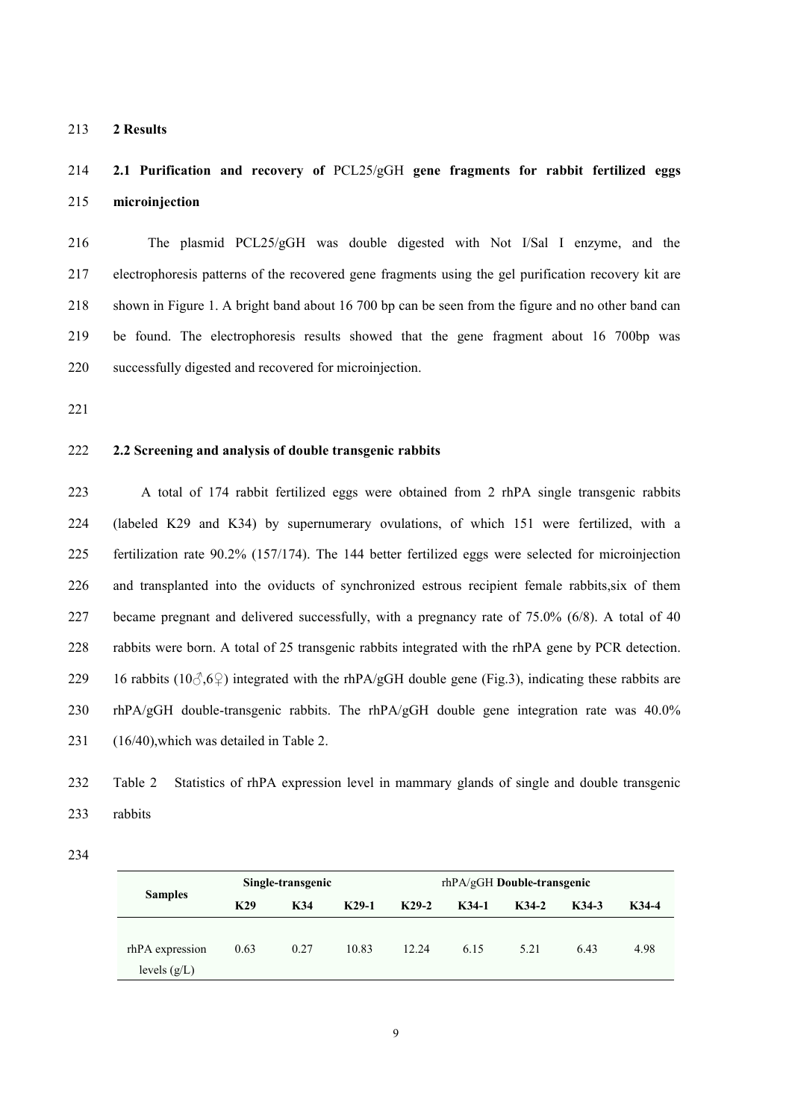**2 Results**

# **2.1 Purification and recovery of** PCL25/gGH **gene fragments for rabbit fertilized eggs microinjection**

 The plasmid PCL25/gGH was double digested with Not I/Sal I enzyme, and the electrophoresis patterns of the recovered gene fragments using the gel purification recovery kit are shown in Figure 1. A bright band about 16 700 bp can be seen from the figure and no other band can be found. The electrophoresis results showed that the gene fragment about 16 700bp was successfully digested and recovered for microinjection.

# **2.2 Screening and analysis ofdouble transgenic rabbits**

223 A total of 174 rabbit fertilized eggs were obtained from 2 rhPA single transgenic rabbits (labeled K29 and K34) by supernumerary ovulations, of which 151 were fertilized, with a fertilization rate 90.2% (157/174). The 144 better fertilized eggs were selected for microinjection and transplanted into the oviducts of synchronized estrous recipient female rabbits,six of them became pregnant and delivered successfully, with a pregnancy rate of 75.0% (6/8). A total of 40 rabbits were born. A total of 25 transgenic rabbits integrated with the rhPA gene by PCR detection. 229 16 rabbits ( $10\textdegree$ , $6\textdegree$ ) integrated with the rhPA/gGH double gene (Fig.3), indicating these rabbits are rhPA/gGH double-transgenic rabbits. The rhPA/gGH double gene integration rate was 40.0% 231 (16/40), which was detailed in Table 2.

 Table 2 Statistics of rhPA expression level in mammary glands of single and double transgenic rabbits

|                 |      | Single-transgenic |         | $rhPA/gGH$ Double-transgenic |         |       |       |       |  |  |  |
|-----------------|------|-------------------|---------|------------------------------|---------|-------|-------|-------|--|--|--|
| <b>Samples</b>  | K29  | K34               | $K29-1$ | $K29-2$                      | $K34-1$ | K34-2 | K34-3 | K34-4 |  |  |  |
|                 |      |                   |         |                              |         |       |       |       |  |  |  |
| rhPA expression | 0.63 | 0.27              | 10.83   | 12.24                        | 6.15    | 5.21  | 6.43  | 4.98  |  |  |  |
| levels $(g/L)$  |      |                   |         |                              |         |       |       |       |  |  |  |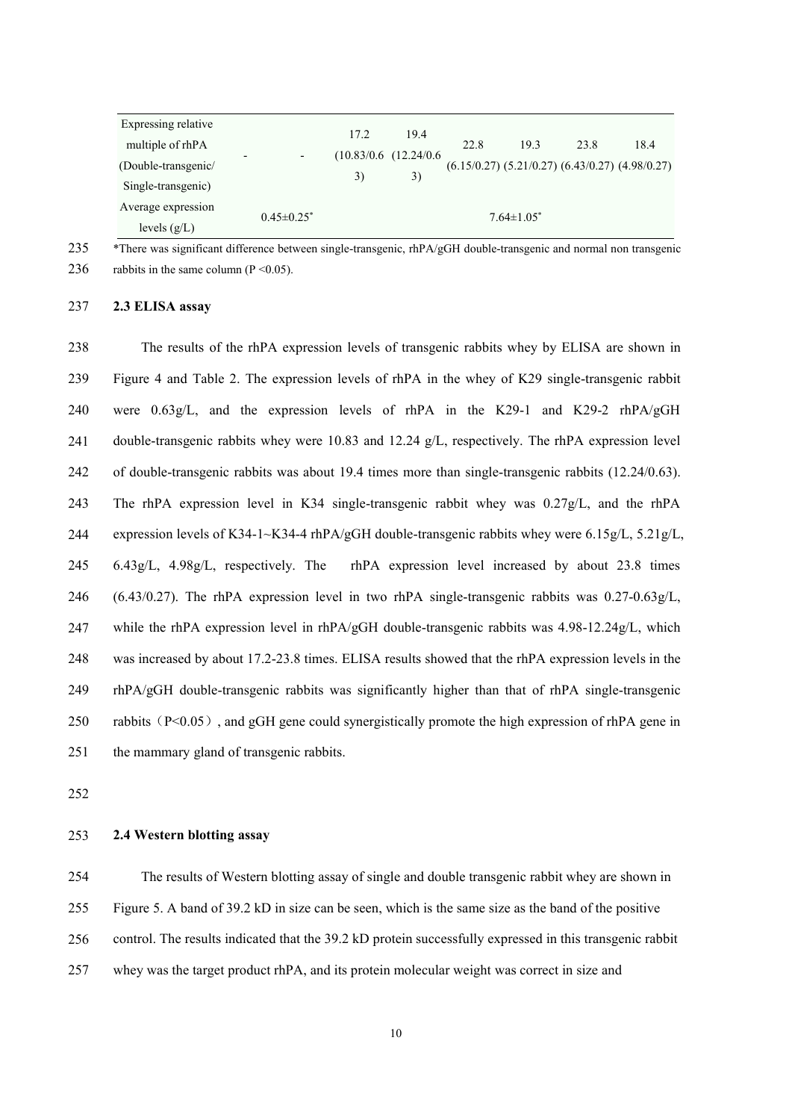| Expressing relative<br>multiple of rhPA   |                              | 17.2<br>3) | 19.4                              | 22.8 | 19.3              | 23.8 | 18.4                                                    |
|-------------------------------------------|------------------------------|------------|-----------------------------------|------|-------------------|------|---------------------------------------------------------|
| (Double-transgenic/<br>Single-transgenic) | $\overline{\phantom{a}}$     |            | $(10.83/0.6)$ $(12.24/0.6)$<br>3) |      |                   |      | $(6.15/0.27)$ $(5.21/0.27)$ $(6.43/0.27)$ $(4.98/0.27)$ |
| Average expression<br>levels $(g/L)$      | $0.45 \pm 0.25$ <sup>*</sup> |            |                                   |      | $7.64 \pm 1.05^*$ |      |                                                         |

235 \*There was significant difference between single-transgenic, rhPA/gGH double-transgenic and normal non transgenic

236 rabbits in the same column ( $P \le 0.05$ ).

237 **2.3 ELISA assay**

238 The results of the rhPA expression levels of transgenic rabbits whey by ELISA are shown in 239 Figure 4 and Table 2. The expression levels of rhPA in the whey of K29 single-transgenic rabbit 240 were 0.63g/L, and the expression levels of rhPA in the K29-1 and K29-2 rhPA/gGH 241 double-transgenic rabbits whey were 10.83 and 12.24 g/L, respectively. The rhPA expression level 242 of double-transgenic rabbits was about 19.4 times more than single-transgenic rabbits (12.24/0.63). 243 The rhPA expression level in K34 single-transgenic rabbit whey was0.27g/L, and the rhPA 244 expression levels of K34-1~K34-4 rhPA/gGH double-transgenic rabbits whey were 6.15g/L, 5.21g/L, 245 6.43g/L, 4.98g/L, respectively. The rhPA expression level increased by about 23.8 times 246 (6.43/0.27). The rhPA expression level in two rhPA single-transgenic rabbits was  $0.27-0.63g/L$ , 247 while the rhPA expression level in rhPA/gGH double-transgenic rabbits was  $4.98$ -12.24g/L, which 248 was increased by about 17.2-23.8 times. ELISA results showed that the rhPA expression levels in the 249 rhPA/gGH double-transgenic rabbits was significantly higher than that of rhPA single-transgenic 250 rabbits  $(P<0.05)$ , and gGH gene could synergistically promote the high expression of rhPA gene in 251 the mammary gland of transgenic rabbits.

252

# 253 **2.4 Western blotting assay**

254 The results of Western blotting assay of single and double transgenic rabbit whey are shown in

255 Figure 5. A band of 39.2 kD in size can be seen, which is the same size as the band of the positive

256 control. The results indicated that the 39.2 kD protein successfully expressed in this transgenic rabbit

257 whey was the target product rhPA, and its protein molecular weight was correct in size and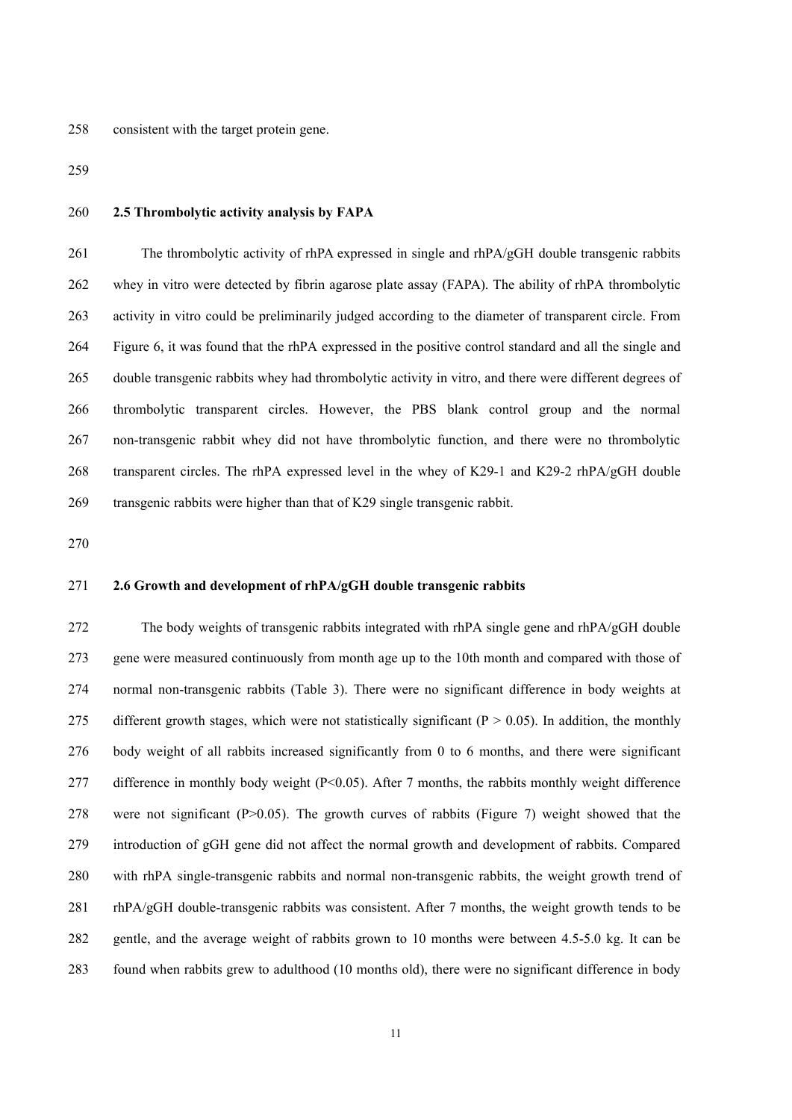consistent with the target protein gene.

# **2.5 Thrombolytic activity analysis by FAPA**

261 The thrombolytic activity of rhPA expressed in single and rhPA/gGH double transgenic rabbits whey in vitro were detected by fibrin agarose plate assay (FAPA). The ability of rhPA thrombolytic activity in vitro could be preliminarily judged according to the diameter of transparent circle. From 264 Figure 6, it was found that the rhPA expressed in the positive control standard and all the single and double transgenic rabbits whey had thrombolytic activity in vitro, and there were different degrees of thrombolytic transparent circles. However, the PBS blank control group and the normal non-transgenic rabbit whey did not have thrombolytic function, and there were no thrombolytic transparent circles. The rhPA expressed level in the whey of K29-1 and K29-2 rhPA/gGH double transgenic rabbits were higher than that of K29 single transgenic rabbit.

## **2.6 Growth and development of rhPA/gGH double transgenic rabbits**

 The body weights of transgenic rabbits integrated with rhPA single gene and rhPA/gGH double gene were measured continuously from month age up to the 10th month and compared with those of normal non-transgenic rabbits (Table 3). There were no significant difference in body weights at 275 different growth stages, which were not statistically significant ( $P > 0.05$ ). In addition, the monthly body weight of all rabbits increased significantly from 0 to 6 months, and there were significant 277 difference in monthly body weight (P<0.05). After 7 months, the rabbits monthly weight difference were not significant (P>0.05). The growth curves of rabbits (Figure 7) weight showed that the introduction of gGH gene did not affect the normalgrowth and development of rabbits. Compared with rhPA single-transgenic rabbits and normal non-transgenic rabbits, the weight growth trend of rhPA/gGH double-transgenic rabbits was consistent. After 7 months, the weight growth tends to be 282 gentle, and the average weight of rabbits grown to 10 months were between 4.5-5.0 kg. It can be found when rabbits grew to adulthood (10 months old), there were no significant difference in body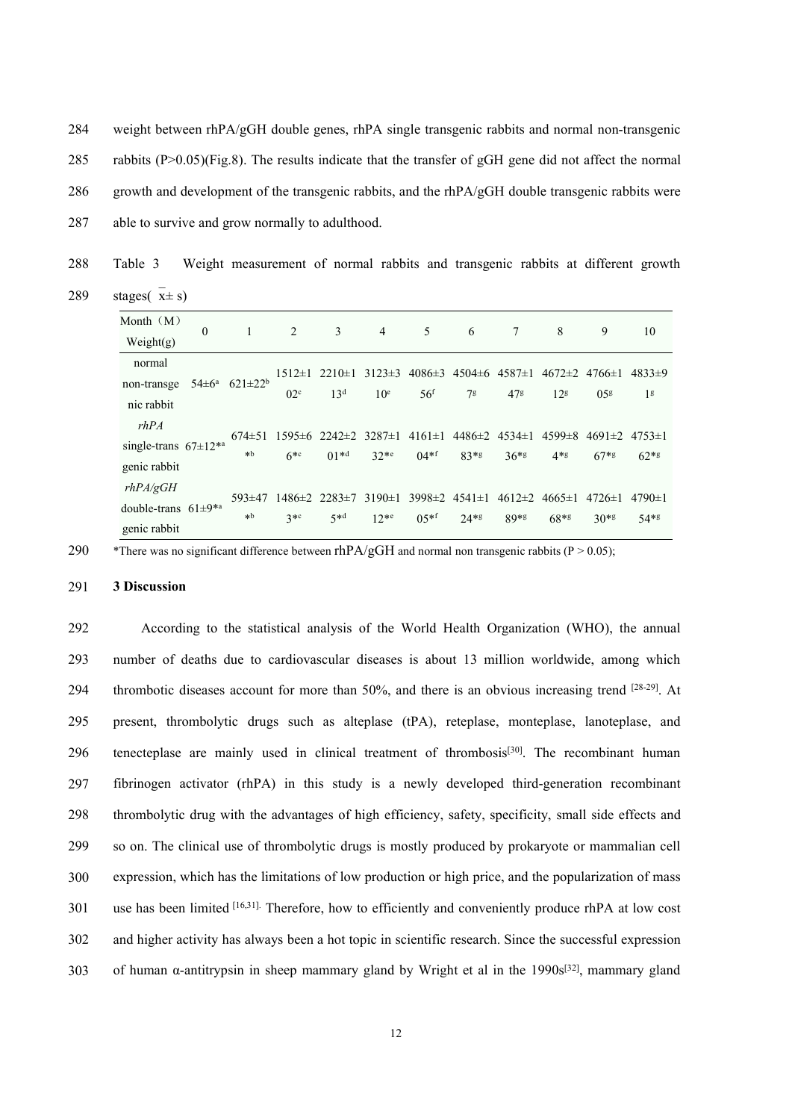284 weight between rhPA/gGH double genes, rhPA single transgenic rabbits and normal non-transgenic 285 rabbits  $(P>0.05)$  (Fig.8). The results indicate that the transfer of gGH gene did not affect the normal 286 growth and development of the transgenic rabbits, and the rhPA/gGH double transgenic rabbits were

287 able to survive and grow normally to adulthood.

288 Table 3 Weight measurement of normal rabbits and transgenic rabbits at different growth 289 stages( $\overline{x} \pm s$ )

| Month $(M)$                   | $\Omega$ |                         | 2               | 3                                                                                                                      | $\overline{4}$  | 5                                                                 | 6              | 7               | 8                                      | 9               | 10             |
|-------------------------------|----------|-------------------------|-----------------|------------------------------------------------------------------------------------------------------------------------|-----------------|-------------------------------------------------------------------|----------------|-----------------|----------------------------------------|-----------------|----------------|
| Weight $(g)$                  |          |                         |                 |                                                                                                                        |                 |                                                                   |                |                 |                                        |                 |                |
| normal                        |          |                         |                 | $1512 \pm 1$ 2210 $\pm 1$                                                                                              | $3123\pm3$      | $4086\pm3$ $4504\pm6$ $4587\pm1$ $4672\pm2$ $4766\pm1$ $4833\pm9$ |                |                 |                                        |                 |                |
| non-transge                   |          | $54\pm6^a$ $621\pm22^b$ |                 |                                                                                                                        |                 |                                                                   |                |                 |                                        |                 |                |
| nic rabbit                    |          |                         | 02 <sup>c</sup> | 13 <sup>d</sup>                                                                                                        | 10 <sup>e</sup> | 56 <sup>f</sup>                                                   | 7 <sup>g</sup> | 47 <sup>g</sup> | 12 <sup>g</sup>                        | 05 <sup>g</sup> | 1 <sup>g</sup> |
| rhPA                          |          |                         |                 | $674\pm51$ 1595 $\pm6$ 2242 $\pm2$ 3287 $\pm1$ 4161 $\pm1$ 4486 $\pm2$ 4534 $\pm1$ 4599 $\pm8$ 4691 $\pm2$ 4753 $\pm1$ |                 |                                                                   |                |                 |                                        |                 |                |
| single-trans $67 \pm 12^{*a}$ |          | $*b$                    |                 |                                                                                                                        |                 |                                                                   |                |                 |                                        |                 |                |
| genic rabbit                  |          |                         | $6*$            | $01*^{d}$                                                                                                              | $32**$          | $04*$ f                                                           | $83*5$         | $36*$           | $4*g$                                  | $67*$ g         | $62*g$         |
| rhPA/gGH                      |          |                         |                 |                                                                                                                        |                 |                                                                   |                |                 |                                        |                 |                |
| double-trans $61\pm9**$       |          | $593\pm47$              |                 | $1486 \pm 2$ 2283 $\pm 7$                                                                                              |                 | $3190 \pm 1$ 3998 $\pm 2$ 4541 $\pm 1$                            |                |                 | $4612 \pm 2$ $4665 \pm 1$ $4726 \pm 1$ |                 | $4790 \pm 1$   |
| genic rabbit                  |          | $\ast b$                | $3 * c$         | $5 * d$                                                                                                                | $12**$          | $0.5**$ f                                                         | $24*8$         | $89*g$          | $68*$                                  | $30*8$          | $54*8$         |

290 \*There was no significant difference between rhPA/gGH and normal non transgenic rabbits (P > 0.05);

#### 291 **3 Discussion**

292 According to the statistical analysis of the World Health Organization (WHO), the annual 293 number of deaths due to cardiovascular diseases is about 13 million worldwide, among which 294 thrombotic diseases account for more than  $50\%$ , and there is an obvious increasing trend  $[28-29]$ . At 295 present, thrombolytic drugs such as alteplase (tPA), reteplase, monteplase, lanoteplase, and 296 tenecteplase are mainly used in clinical treatment of thrombosis<sup>[30]</sup>. The recombinant human 297 fibrinogen activator (rhPA) in this study is a newly developed third-generation recombinant 298 thrombolytic drug with the advantages of high efficiency, safety, specificity, small side effects and 299 so on. The clinical use of thrombolytic drugs is mostly produced by prokaryote or mammalian cell 300 expression, which has the limitations of low production or high price, and the popularization of mass 301 use has been limited [16,31]. Therefore, how to efficiently and conveniently produce rhPA at low cost 302 and higher activity has always been a hot topic in scientific research. Since the successful expression 303 of human  $\alpha$ -antitrypsin in sheep mammary gland by Wright et al in the 1990s<sup>[32]</sup>, mammary gland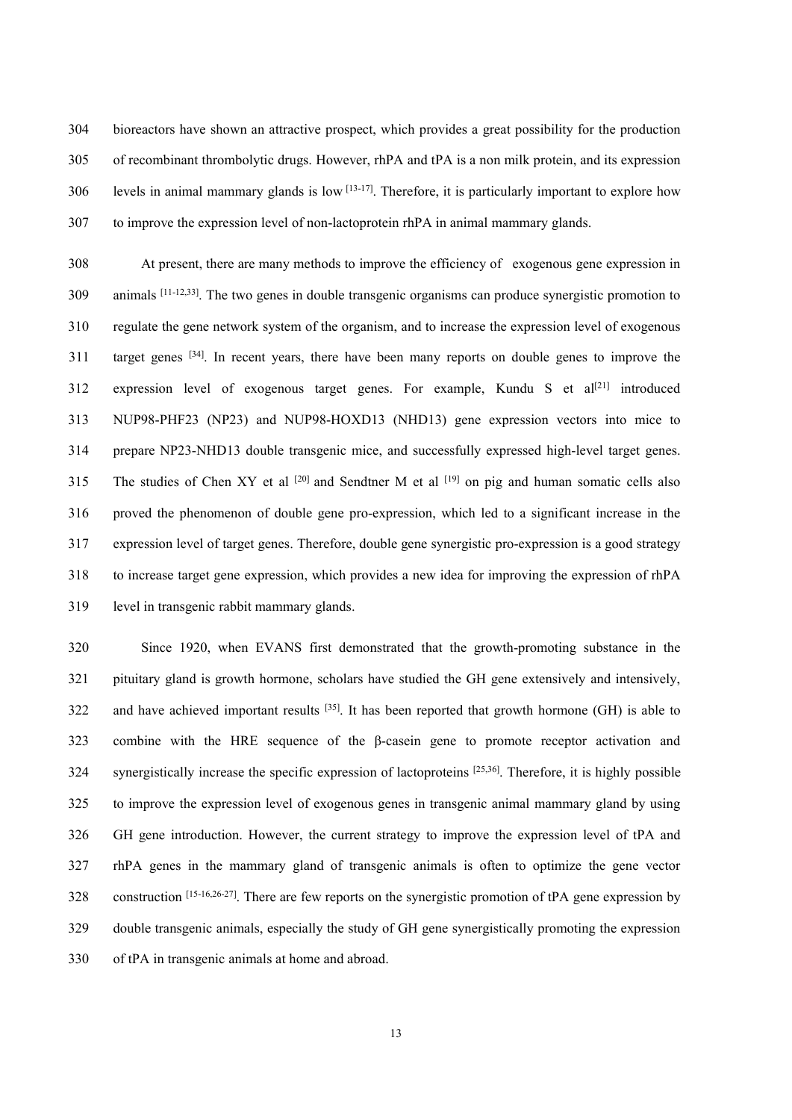bioreactors have shown an attractive prospect, which provides a great possibility for the production of recombinant thrombolytic drugs. However, rhPA and tPA is a non milk protein, and its expression 306 levels in animal mammary glands is low  $[13-17]$ . Therefore, it is particularly important to explore how to improve the expression level of non-lactoprotein rhPA in animal mammary glands.

 At present, there are many methods to improve the efficiency of exogenous gene expression in 309 animals [11-12,33]. The two genes in double transgenic organisms can produce synergistic promotion to regulate the gene network system of the organism, and to increase the expression level of exogenous 311 target genes <sup>[34]</sup>. In recent years, there have been many reports on double genes to improve the 312 expression level of exogenous target genes. For example, Kundu S et al<sup>[21]</sup> introduced NUP98-PHF23 (NP23) and NUP98-HOXD13 (NHD13) gene expression vectors into mice to prepare NP23-NHD13 double transgenic mice, and successfully expressed high-level target genes. 315 The studies of Chen XY et al  $[20]$  and Sendtner M et al  $[19]$  on pig and human somatic cells also proved the phenomenon of double gene pro-expression, which led to a significant increase in the expression level of target genes. Therefore, double gene synergistic pro-expression is a good strategy to increase target gene expression, which provides a new idea for improving the expression of rhPA level in transgenic rabbit mammary glands.

 Since 1920, when EVANS first demonstrated that the growth-promoting substance in the pituitary gland is growth hormone, scholars have studied the GH gene extensively and intensively, 322 and have achieved important results  $[35]$ . It has been reported that growth hormone (GH) is able to combine with the HRE sequence of the β-casein gene to promote receptor activation and 324 synergistically increase the specific expression of lactoproteins <sup>[25,36]</sup>. Therefore, it is highly possible to improve the expression level of exogenous genes in transgenic animal mammary gland by using GH gene introduction. However, the current strategy to improve the expression level of tPA and rhPA genes in the mammary gland of transgenic animals is often to optimize the gene vector 328 construction [15-16,26-27]. There are few reports on the synergistic promotion of tPA gene expression by double transgenic animals, especially the study of GH gene synergistically promoting the expression of tPA in transgenic animals at home and abroad.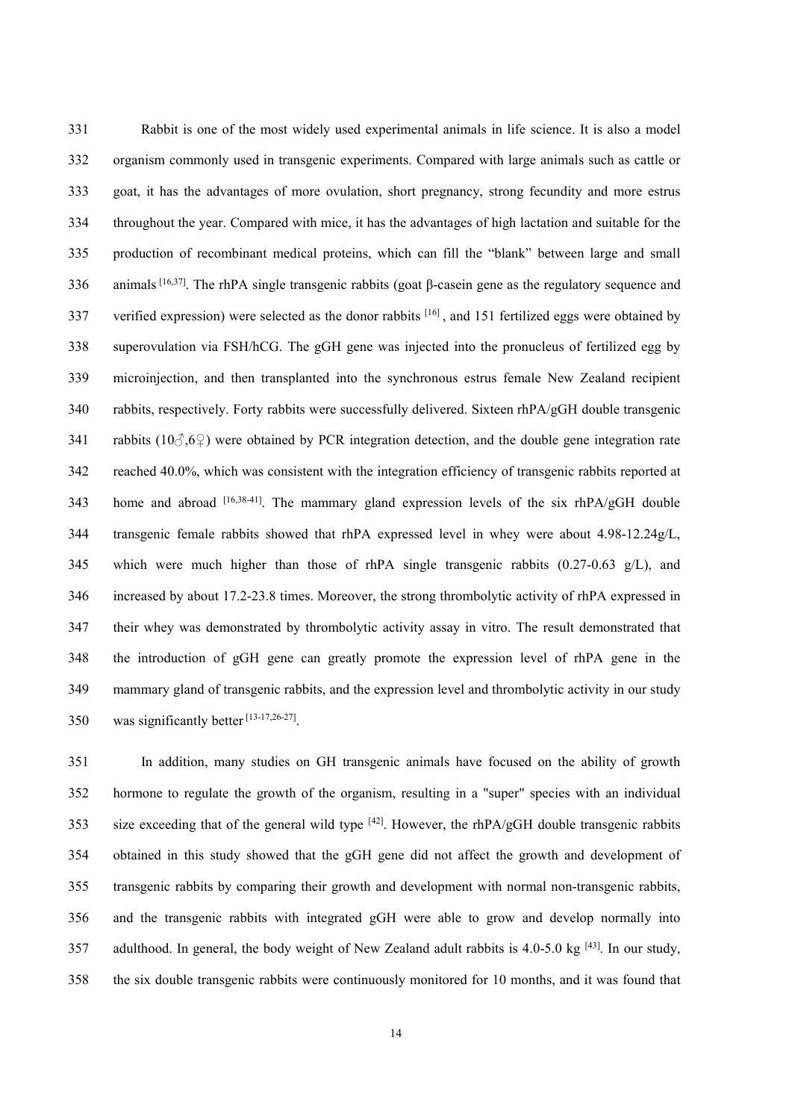Rabbit is one of the most widely used experimental animals in life science. It is also a model organism commonly used in transgenic experiments. Compared with large animals such as cattle or goat, it has the advantages of more ovulation, short pregnancy, strong fecundity and more estrus throughout the year. Compared with mice, it has the advantages of high lactation and suitable for the production of recombinant medical proteins, which can fill the "blank" between large and small 336 animals [16,37]. The rhPA single transgenic rabbits (goat  $\beta$ -casein gene as the regulatory sequence and 337 verified expression) were selected as the donor rabbits  $[16]$ , and 151 fertilized eggs were obtained by superovulation via FSH/hCG. The gGH gene was injected into the pronucleus of fertilized egg by microinjection, and then transplanted into the synchronous estrus female New Zealand recipient rabbits, respectively. Forty rabbits were successfully delivered. Sixteen rhPA/gGH double transgenic 341 rabbits ( $10\degree$ , $6\degree$ ) were obtained by PCR integration detection, and the double gene integration rate reached 40.0%, which was consistent with the integration efficiency of transgenic rabbits reported at 343 home and abroad [16,38-41]. The mammary gland expression levels of the six rhPA/gGH double transgenic female rabbits showed that rhPA expressed level in whey were about 4.98-12.24g/L, 345 which were much higher than those of rhPA single transgenic rabbits  $(0.27-0.63 \text{ g/L})$ , and increased by about 17.2-23.8 times. Moreover, the strong thrombolytic activity of rhPA expressedin their whey was demonstrated by thrombolytic activity assay in vitro. The result demonstrated that the introduction of gGH gene can greatly promote the expression level of rhPA gene in the mammary gland of transgenic rabbits, and the expression level and thrombolytic activity in our study 350 was significantly better  $[13-17,26-27]$ .

 In addition, many studies on GH transgenic animals have focused on the ability of growth hormone to regulate the growth of the organism, resulting in a "super" species with an individual 353 is exceeding that of the general wild type  $[42]$ . However, the rhPA/gGH double transgenic rabbits 354 obtained in this study showed that the gGH gene did not affect the growth and development of transgenic rabbits by comparing their growth and development with normal non-transgenic rabbits, and the transgenic rabbits with integrated gGH were able to grow and develop normally into 357 adulthood. In general, the body weight of New Zealand adult rabbits is  $4.0-5.0$  kg  $^{[43]}$ . In our study, the six double transgenic rabbits were continuously monitored for 10 months, and it was found that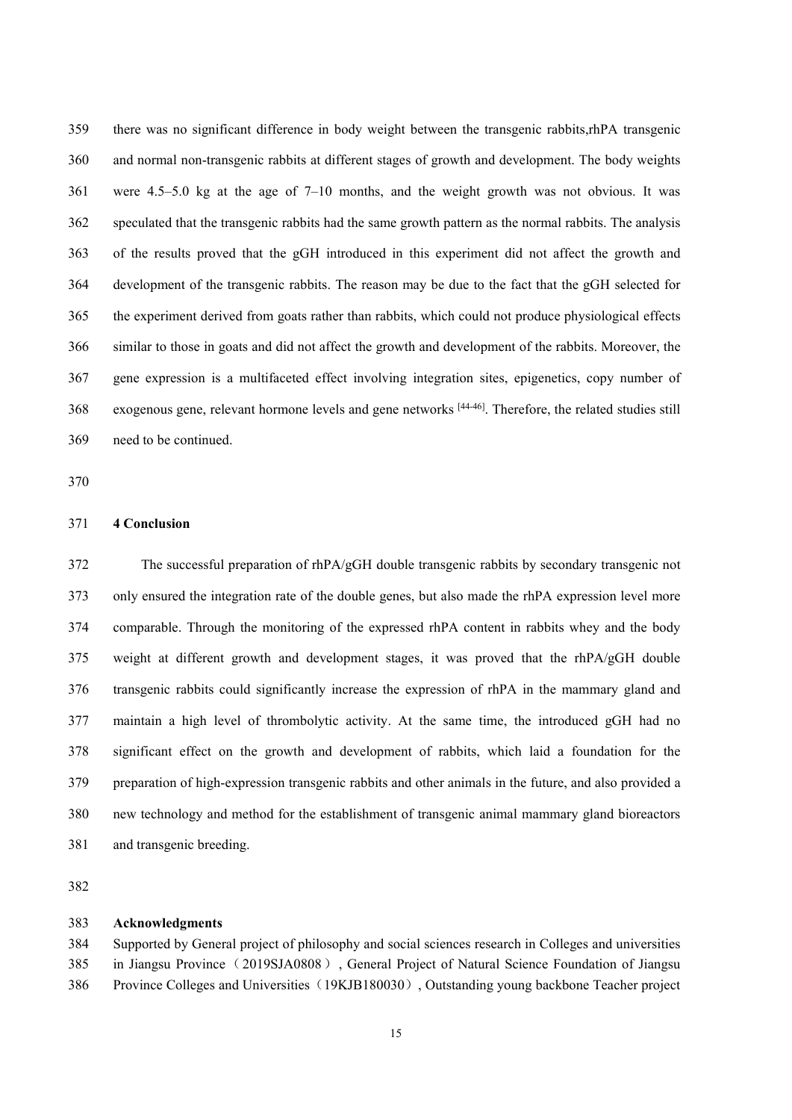there was no significant difference in body weight between the transgenic rabbits,rhPA transgenic and normal non-transgenic rabbits at different stages of growth and development. The body weights were 4.5–5.0 kg at the age of 7–10 months, and the weight growth was not obvious. It was speculated that the transgenic rabbits had the same growth pattern as the normal rabbits. The analysis of the results proved that the gGH introduced in this experiment did not affect the growth and development of the transgenic rabbits. The reason may be due to the fact that the gGH selected for the experiment derived from goats rather than rabbits, which could not produce physiological effects similar to those in goats and did not affect the growth and development of the rabbits. Moreover, the gene expression is a multifaceted effect involving integration sites, epigenetics, copy number of 368 exogenous gene, relevant hormone levels and gene networks <sup>[44-46]</sup>. Therefore, the related studies still need to be continued.

## **4 Conclusion**

 The successful preparation of rhPA/gGH double transgenic rabbits by secondary transgenic not only ensured the integration rate of the double genes, but also made the rhPA expression level more comparable. Through the monitoring of the expressed rhPA content in rabbits whey and the body weight at different growth and development stages, it was proved that the rhPA/gGH double transgenic rabbits could significantly increase the expression of rhPA in the mammary gland and maintain a high level of thrombolytic activity. At the same time, the introduced gGH had no significant effect on the growth and development of rabbits, which laid a foundation for the preparation of high-expression transgenic rabbits and other animals in the future, and also provided a new technology and method for the establishment of transgenic animal mammary gland bioreactors and transgenic breeding.

# **Acknowledgments**

 Supported by General project of philosophy and social sciences research in Colleges and universities in Jiangsu Province(2019SJA0808), General Project of Natural Science Foundation of Jiangsu 386 Province Colleges and Universities (19KJB180030), Outstanding young backbone Teacher project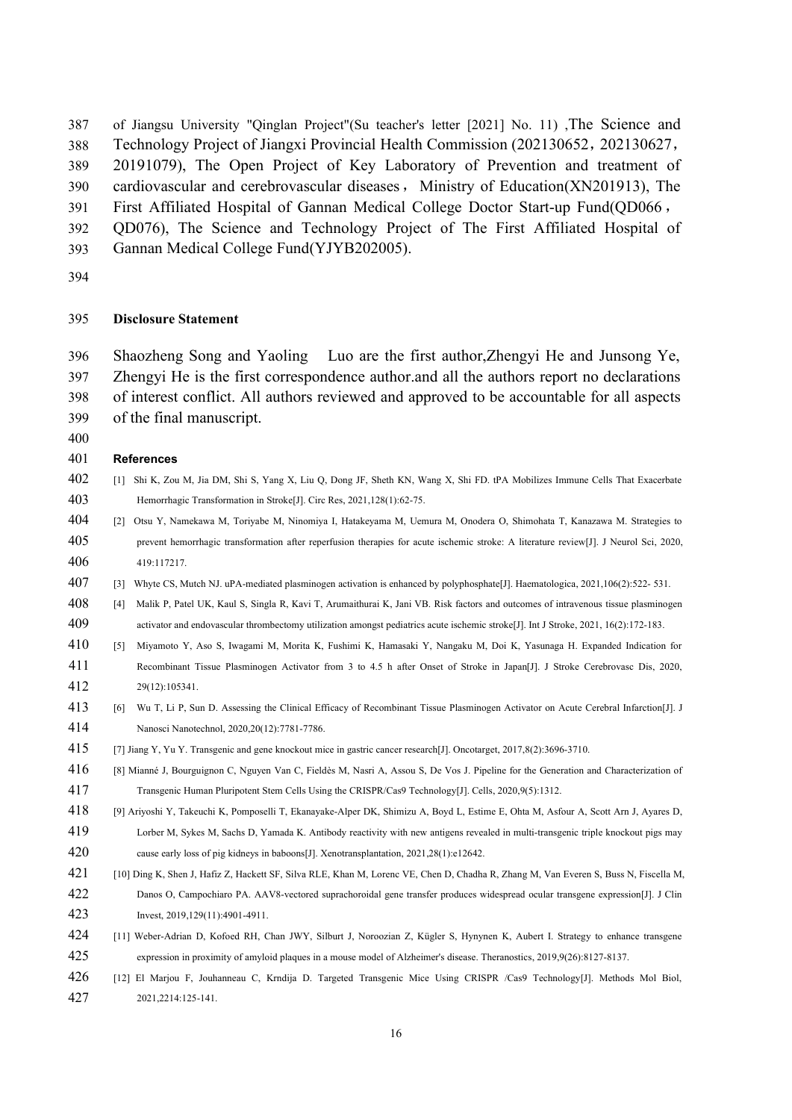of Jiangsu University "Qinglan Project"(Su teacher's letter [2021] No. 11) ,The Science and

Technology Project of Jiangxi Provincial Health Commission (202130652,202130627,

20191079), The Open Project of Key Laboratory of Prevention and treatment of

390 cardiovascular and cerebrovascular diseases, Ministry of Education(XN201913), The

First Affiliated Hospital of Gannan Medical College Doctor Start-up Fund(QD066,

QD076), The Science and Technology Project of The First Affiliated Hospital of

- Gannan Medical College Fund(YJYB202005).
- 

## **Disclosure Statement**

 Shaozheng Song and Yaoling Luo are the first author,Zhengyi He and Junsong Ye, Zhengyi He is the first correspondence author.and all the authors report no declarations of interest conflict. All authors reviewed and approved to be accountable for all aspects of the final manuscript.

# **References**

- [1] Shi K, Zou M, Jia DM, Shi S, Yang X, Liu Q, Dong JF, Sheth KN, Wang X, Shi FD. tPA Mobilizes Immune Cells ThatExacerbate Hemorrhagic Transformation in Stroke[J]. Circ Res, 2021,128(1):62-75.
- [2] Otsu Y, Namekawa M, Toriyabe M, Ninomiya I, Hatakeyama M, Uemura M, Onodera O, Shimohata T, Kanazawa M. Strategies to prevent hemorrhagic transformation after reperfusion therapies for acute ischemic stroke: A literature review[J]. J Neurol Sci, 2020, 419:117217.
- [3] Whyte CS, Mutch NJ. uPA-mediated plasminogen activation is enhanced by polyphosphate[J]. Haematologica, 2021,106(2):522- 531.
- [4] Malik P, Patel UK, Kaul S, Singla R, Kavi T, Arumaithurai K, Jani VB. Risk factors and outcomes of intravenous tissue plasminogen activator and endovascular thrombectomy utilization amongst pediatrics acute ischemic stroke[J]. Int J Stroke, 2021, 16(2):172-183.
- [5] Miyamoto Y, Aso S, Iwagami M, Morita K, Fushimi K, Hamasaki Y, Nangaku M, Doi K, Yasunaga H. Expanded Indication for Recombinant Tissue Plasminogen Activator from 3 to 4.5 h afterOnset of Stroke in Japan[J]. J Stroke Cerebrovasc Dis, 2020, 29(12):105341.
- [6] Wu T, Li P, Sun D. Assessing the Clinical Efficacy of Recombinant Tissue Plasminogen Activator on Acute Cerebral Infarction[J]. J Nanosci Nanotechnol, 2020,20(12):7781-7786.
- [7] Jiang Y, Yu Y. Transgenic and gene knockout mice in gastric cancer research[J]. Oncotarget, 2017,8(2):3696-3710.
- [8] Mianné J, Bourguignon C, Nguyen Van C, Fieldès M, Nasri A, Assou S, De Vos J. Pipeline for the Generation and Characterization of Transgenic Human Pluripotent Stem Cells Using theCRISPR/Cas9 Technology[J]. Cells, 2020,9(5):1312.
- [9] Ariyoshi Y,Takeuchi K, Pomposelli T, Ekanayake-Alper DK, Shimizu A, Boyd L, Estime E, Ohta M, Asfour A, Scott Arn J, Ayares D, Lorber M, Sykes M, Sachs D, Yamada K. Antibody reactivity with new antigens revealed in multi-transgenic triple knockout pigs may
- 420 cause early loss of pig kidneys in baboons[J]. Xenotransplantation, 2021,28(1):e12642.
- [10] Ding K, Shen J, Hafiz Z, Hackett SF, Silva RLE, Khan M, Lorenc VE, Chen D, Chadha R, Zhang M, Van Everen S, Buss N, Fiscella M, Danos O,Campochiaro PA. AAV8-vectored suprachoroidal gene transfer produces widespread ocular transgene expression[J]. J Clin Invest, 2019,129(11):4901-4911.
- [11] Weber-Adrian D, Kofoed RH, Chan JWY, Silburt J, Noroozian Z, Kügler S, Hynynen K, Aubert I. Strategy to enhance transgene expression in proximity of amyloid plaques in a mouse model of Alzheimer's disease. Theranostics, 2019,9(26):8127-8137.
- [12] El Marjou F, Jouhanneau C, Krndija D. Targeted Transgenic Mice Using CRISPR /Cas9 Technology[J]. Methods Mol Biol, 2021,2214:125-141.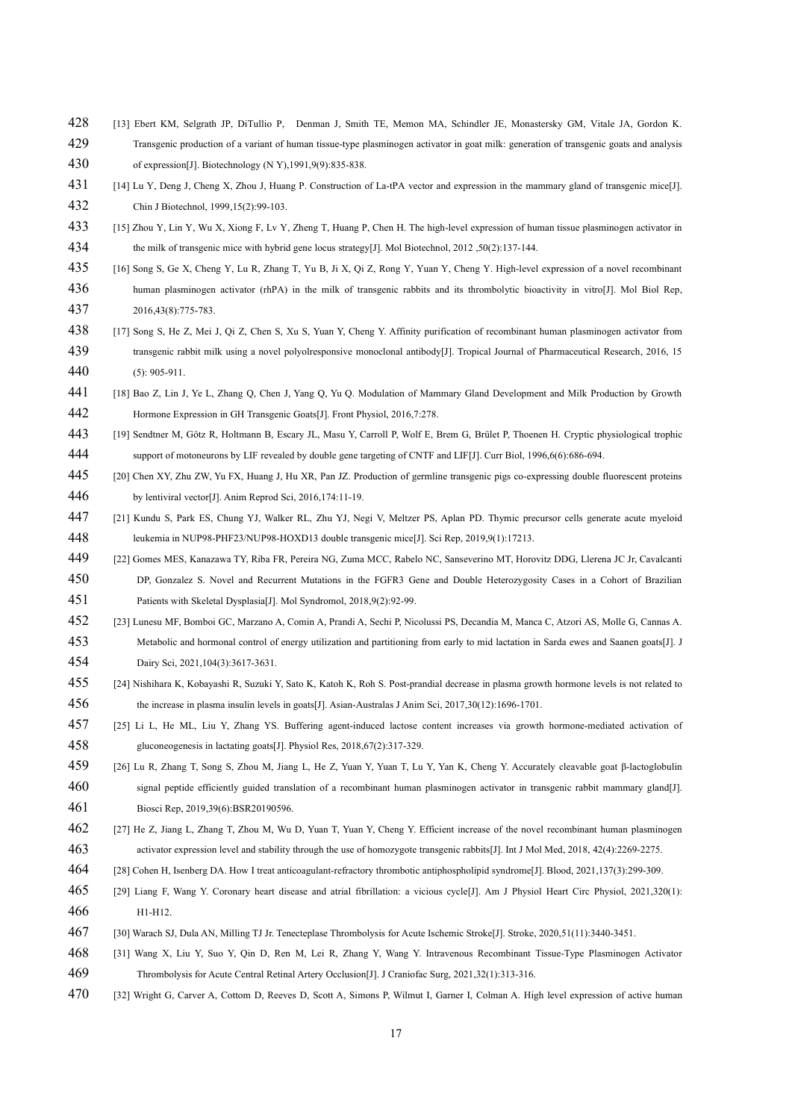- [13] Ebert KM, Selgrath JP, DiTullio P, [Denman](https://www.ncbi.nlm.nih.gov/pubmed/?term=Denman%20J%5BAuthor%5D&cauthor=true&cauthor_uid=1367544) J, [Smith](https://www.ncbi.nlm.nih.gov/pubmed/?term=Smith%20TE%5BAuthor%5D&cauthor=true&cauthor_uid=1367544) TE, [Memon](https://www.ncbi.nlm.nih.gov/pubmed/?term=Memon%20MA%5BAuthor%5D&cauthor=true&cauthor_uid=1367544) MA, [Schindler](https://www.ncbi.nlm.nih.gov/pubmed/?term=Schindler%20JE%5BAuthor%5D&cauthor=true&cauthor_uid=1367544) JE, [Monastersky](https://www.ncbi.nlm.nih.gov/pubmed/?term=Monastersky%20GM%5BAuthor%5D&cauthor=true&cauthor_uid=1367544) GM, [Vitale](https://www.ncbi.nlm.nih.gov/pubmed/?term=Vitale%20JA%5BAuthor%5D&cauthor=true&cauthor_uid=1367544) JA, [Gordon](https://www.ncbi.nlm.nih.gov/pubmed/?term=Gordon%20K%5BAuthor%5D&cauthor=true&cauthor_uid=1367544) K. Transgenic production of a variant of human tissue-type plasminogen activator in goat milk: generation of transgenic goats and analysis of expression[J]. Biotechnology (N Y),1991,9(9):835-838.
- [14] Lu Y, Deng J,Cheng X, Zhou J,Huang P. Construction of La-tPA vector and expression in the mammary gland of transgenic mice[J]. Chin J Biotechnol, 1999,15(2):99-103.
- [15] Zhou Y, Lin Y, Wu X, Xiong F, Lv Y, Zheng T, Huang P, Chen H.The high-level expression of human tissue plasminogen activator in the milk of transgenic mice with hybrid gene locus strategy[J]. Mol Biotechnol, 2012 ,50(2):137-144.
- [16] Song S, Ge X, Cheng Y, Lu R, Zhang T, Yu B, Ji X, Qi Z, Rong Y, Yuan Y, Cheng Y. High-level expression of a novel recombinant human plasminogen activator (rhPA) in the milk of transgenic rabbits and its thrombolytic bioactivity in vitro[J]. Mol Biol Rep, 2016,43(8):775-783.
- [17] Song S, He Z, MeiJ, Qi Z, Chen S, Xu S, Yuan Y,Cheng Y. Affinity purification of recombinant human plasminogen activator from transgenic rabbit milk using a novel polyolresponsive monoclonal antibody[J]. Tropical Journal of Pharmaceutical Research, 2016, 15 (5): 905-911.
- [18] Bao Z, Lin J, Ye L, Zhang Q, Chen J, Yang Q,Yu Q. Modulation of Mammary Gland Development and Milk Production by Growth Hormone Expression in GH Transgenic Goats[J]. Front Physiol, 2016,7:278.
- [19] Sendtner M, Götz R, Holtmann B, Escary JL, Masu Y, Carroll P, Wolf E, Brem G, Brület P, Thoenen H. Cryptic physiological trophic support of motoneurons by LIF revealed by double gene targeting of CNTF and LIF[J]. Curr Biol, 1996,6(6):686-694.
- [20] Chen XY, Zhu ZW, Yu FX, Huang J, Hu XR, Pan JZ. Production of germline transgenic pigs co-expressing double fluorescent proteins by lentiviral vector[J]. Anim Reprod Sci, 2016,174:11-19.
- [21] Kundu S, Park ES, Chung YJ, Walker RL, Zhu YJ, Negi V, Meltzer PS, Aplan PD. Thymic precursor cells generate acute myeloid leukemia in NUP98-PHF23/NUP98-HOXD13 double transgenic mice[J]. Sci Rep, 2019,9(1):17213.
- [22] Gomes MES,Kanazawa TY, Riba FR, Pereira NG, Zuma MCC, Rabelo NC, Sanseverino MT, Horovitz DDG, Llerena JC Jr, Cavalcanti 450 DP, Gonzalez S. Novel and Recurrent Mutations in the FGFR3 Gene and Double Heterozygosity Cases in a Cohort of Brazilian

Patients with Skeletal Dysplasia[J]. Mol Syndromol, 2018,9(2):92-99.

- [23] Lunesu MF, Bomboi GC, Marzano A, Comin A, Prandi A, Sechi P, Nicolussi PS, Decandia M, Manca C, Atzori AS, Molle G, Cannas A. Metabolic and hormonal control of energy utilization and partitioning from early to midlactation in Sarda ewes and Saanen goats[J]. J
- Dairy Sci, 2021,104(3):3617-3631.
- [24] Nishihara K, Kobayashi R, Suzuki Y, Sato K, Katoh K, Roh S. Post-prandial decrease in plasma growth hormone levels is not related to the increase in plasma insulin levels in goats[J]. Asian-Australas J Anim Sci, 2017,30(12):1696-1701.
- [25] Li L, He ML, Liu Y, Zhang YS. Buffering agent-induced lactose content increases via growth hormone-mediated activation of gluconeogenesis in lactating goats[J]. Physiol Res, 2018,67(2):317-329.
- [26] Lu R, Zhang T, Song S,Zhou M, Jiang L, He Z, Yuan Y, Yuan T,Lu Y, Yan K, Cheng Y. Accurately cleavable goat β-lactoglobulin 460 signal peptide efficiently guided translation of a recombinant human plasminogen activator in transgenic rabbit mammary gland[J]. Biosci Rep, 2019,39(6):BSR20190596.
- [27] He Z, Jiang L, Zhang T, Zhou M, Wu D, Yuan T, Yuan Y, Cheng Y. Efficient increase of the novel recombinant human plasminogen activator expression level and stability through the use of homozygote transgenic rabbits[J]. Int J Mol Med, 2018, 42(4):2269-2275.
- [28] Cohen H, Isenberg DA. How I treat anticoagulant-refractory thrombotic antiphospholipid syndrome[J]. Blood, 2021,137(3):299-309.
- [29] Liang F, Wang Y. Coronary heart disease and atrial fibrillation: a vicious cycle[J]. Am J Physiol Heart Circ Physiol,2021,320(1): H1-H12.
- [30] Warach SJ, Dula AN, Milling TJ Jr. Tenecteplase Thrombolysis for Acute Ischemic Stroke[J]. Stroke, 2020,51(11):3440-3451.
- [31] Wang X, Liu Y, Suo Y, Qin D, Ren M, Lei R, Zhang Y, Wang Y. Intravenous Recombinant Tissue-Type Plasminogen Activator Thrombolysis for Acute Central Retinal Artery Occlusion[J]. J Craniofac Surg, 2021,32(1):313-316.
- [32] Wright G, Carver A, Cottom D, Reeves D, Scott A, Simons P, Wilmut I, Garner I, Colman A. High level expression of active human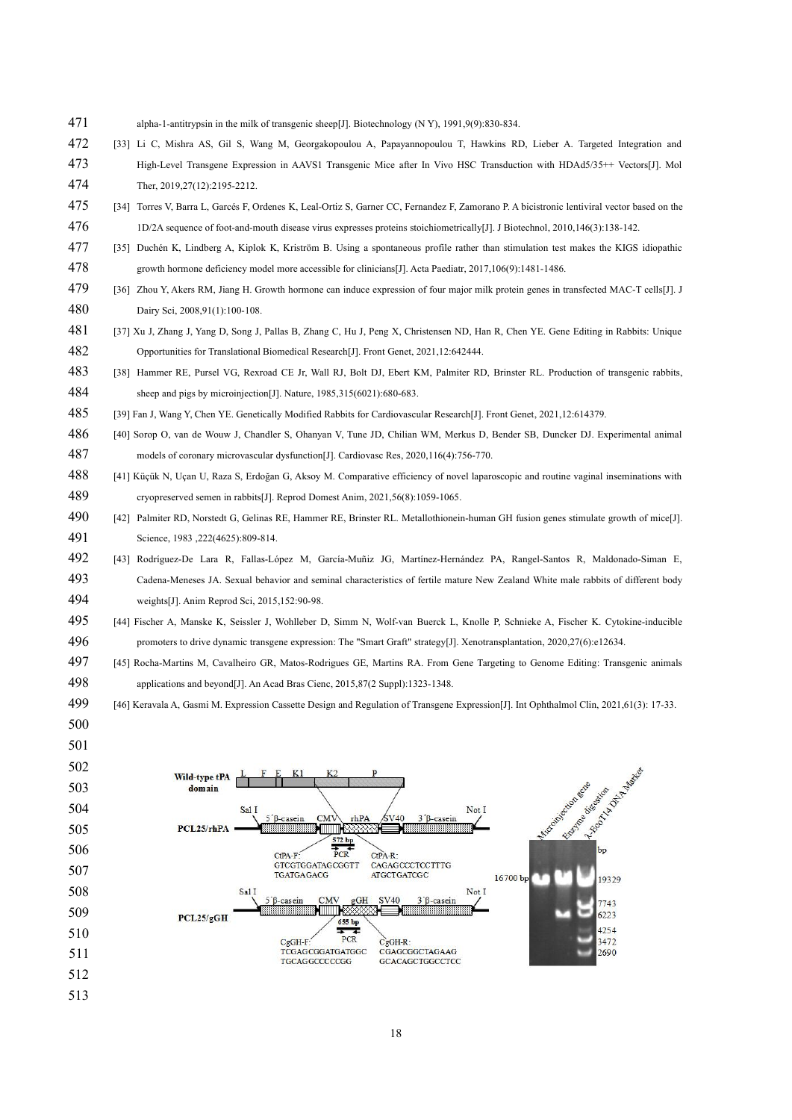- alpha-1-antitrypsin in the milk of transgenic sheep[J]. Biotechnology (N Y), 1991,9(9):830-834.
- [33] Li C, Mishra AS, Gil S, Wang M, Georgakopoulou A, Papayannopoulou T, Hawkins RD, Lieber A. Targeted Integration and High-Level Transgene Expression in AAVS1 Transgenic Mice after In Vivo HSC Transduction with HDAd5/35++ Vectors[J]. Mol Ther, 2019,27(12):2195-2212.
- [34] Torres V, Barra L, Garcés F, Ordenes K, Leal-Ortiz S, Garner CC, Fernandez F, Zamorano P. A bicistronic lentiviral vector based on the 1D/2A sequence of foot-and-mouth disease virus expresses proteins stoichiometrically[J]. J Biotechnol, 2010,146(3):138-142.
- [35] Duchén K, Lindberg A, Kiplok K, Kriström B. Using a spontaneous profile rather than stimulation test makes the KIGS idiopathic growth hormone deficiency model more accessible for clinicians[J]. Acta Paediatr, 2017,106(9):1481-1486.
- [36] Zhou Y, Akers RM, Jiang H. Growth hormone can induce expression of four major milk protein genes in transfected MAC-T cells[J]. J Dairy Sci, 2008,91(1):100-108.
- [37] Xu J, Zhang J,Yang D, Song J, Pallas B, Zhang C, Hu J, Peng X, Christensen ND, Han R, Chen YE. Gene Editing in Rabbits: Unique Opportunities for Translational Biomedical Research[J]. Front Genet, 2021,12:642444.
- [38] Hammer RE, Pursel VG, Rexroad CE Jr, Wall RJ, Bolt DJ, Ebert KM, Palmiter RD, Brinster RL. Production of transgenic rabbits, sheep and pigs by microinjection[J]. Nature, 1985,315(6021):680-683.
- [39] Fan J, Wang Y, Chen YE. Genetically Modified Rabbits for Cardiovascular Research[J]. Front Genet, 2021,12:614379.
- [40] Sorop O, van de Wouw J, Chandler S, Ohanyan V, Tune JD, Chilian WM, Merkus D, Bender SB, Duncker DJ. Experimental animal 487 models of coronary microvascular dysfunction[J]. Cardiovasc Res, 2020,116(4):756-770.
- [41] Küçük N, Uçan U, Raza S,Erdoğan G, Aksoy M. Comparative efficiency of novel laparoscopic and routine vaginalinseminations with cryopreserved semen in rabbits[J]. Reprod Domest Anim, 2021,56(8):1059-1065.
- [42] Palmiter RD, Norstedt G, Gelinas RE, Hammer RE, Brinster RL. Metallothionein-human GH fusion genes stimulate growth of mice[J].Science, 1983 ,222(4625):809-814.
- [43] Rodríguez-De Lara R, Fallas-López M, García-Muñiz JG, Martínez-Hernández PA, Rangel-Santos R, Maldonado-Siman E, Cadena-Meneses JA. Sexual behavior and seminal characteristics of fertile mature New Zealand White male rabbits of different body weights[J]. Anim Reprod Sci, 2015,152:90-98.
- [44] Fischer A, Manske K, Seissler J, Wohlleber D, Simm N, Wolf-van Buerck L, Knolle P, Schnieke A, Fischer K. Cytokine-inducible promoters to drive dynamic transgene expression: The "Smart Graft" strategy[J]. Xenotransplantation, 2020,27(6):e12634.
- [45] Rocha-Martins M, Cavalheiro GR, Matos-Rodrigues GE, Martins RA. From Gene Targeting to Genome Editing: Transgenic animals applications and beyond[J]. An Acad BrasCienc, 2015,87(2 Suppl):1323-1348.
- [46] Keravala A, Gasmi M. Expression Cassette Design and Regulation of Transgene Expression[J]. Int Ophthalmol Clin, 2021,61(3): 17-33.

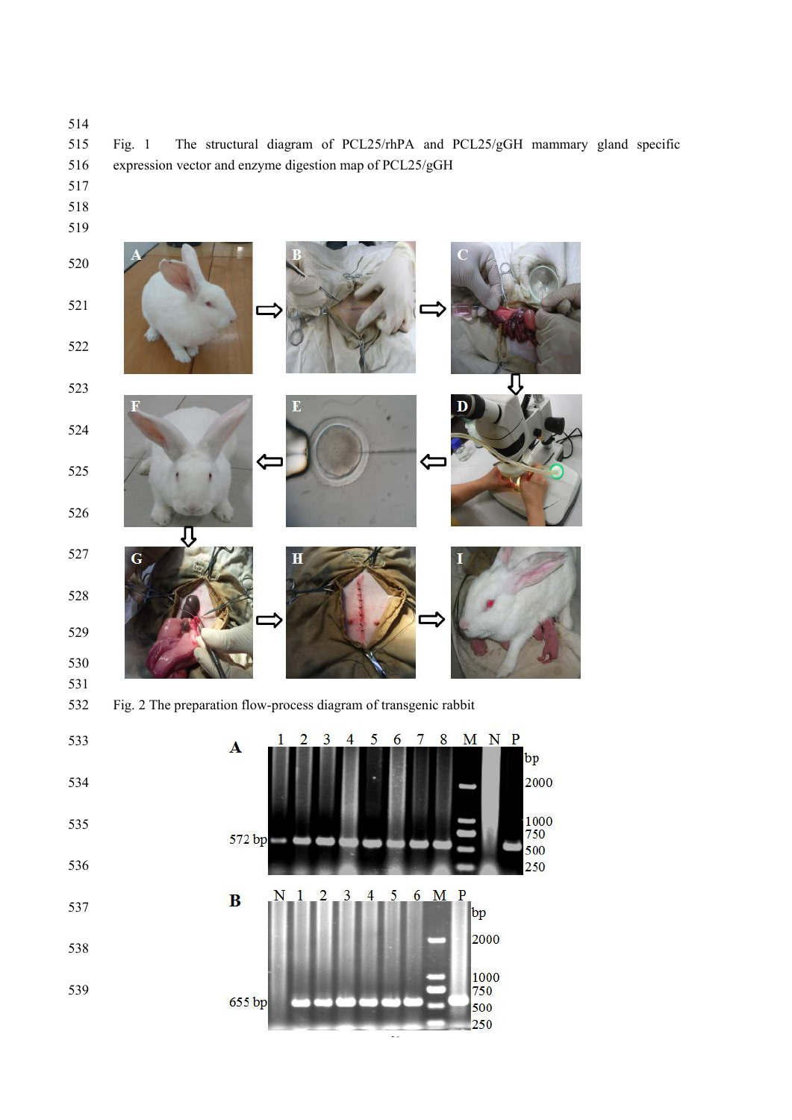

⇩

Ċ

- 
- 
- 
- 
- 
- 
- 
- 



**G** 

贝

Fig. 2 The preparation flow-process diagram of transgenic rabbit

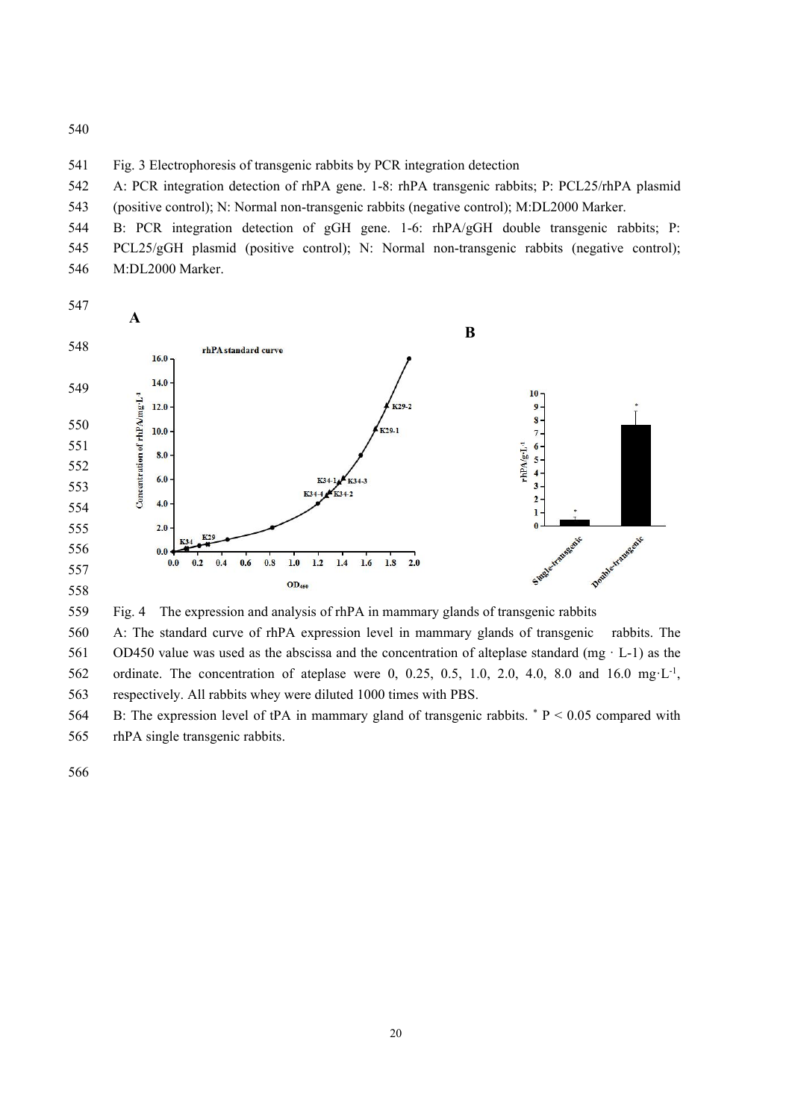541 Fig. 3 Electrophoresis of transgenic rabbits by PCR integration detection

 A: PCR integration detection of rhPA gene. 1-8: rhPA transgenic rabbits; P: PCL25/rhPA plasmid (positive control); N: Normal non-transgenic rabbits (negative control); M:DL2000 Marker.

 B: PCR integration detection of gGH gene. 1-6: rhPA/gGH double transgenic rabbits; P: PCL25/gGH plasmid (positive control); N: Normal non-transgenic rabbits (negative control); M:DL2000 Marker.



559 Fig. 4 The expression and analysis of rhPA in mammary glands of transgenic rabbits

 A: The standard curve of rhPA expression level in mammary glands of transgenic rabbits. The OD450 value was used as the abscissa and the concentration of alteplase standard (mg · L-1) as the 562 ordinate. The concentration of ateplase were 0, 0.25, 0.5, 1.0, 2.0, 4.0, 8.0 and 16.0 mg·L<sup>-1</sup>, respectively. All rabbits whey were diluted 1000 times with PBS.

564 B: The expression level of tPA in mammary gland of transgenic rabbits.  $* P < 0.05$  compared with rhPA single transgenic rabbits.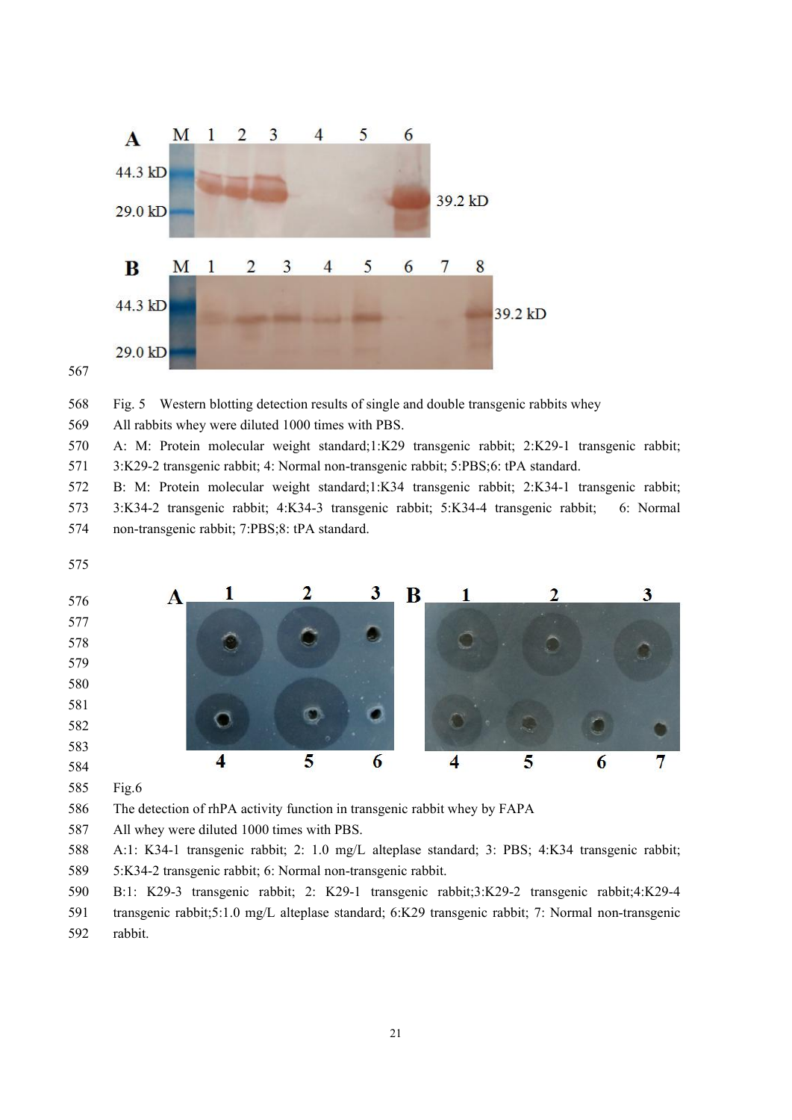



568 Fig. 5 Western blotting detection results of single and double transgenic rabbits whey

All rabbits whey were diluted 1000 times with PBS.

 A: M: Protein molecular weight standard;1:K29 transgenic rabbit;2:K29-1 transgenic rabbit; 3:K29-2 transgenic rabbit; 4: Normal non-transgenic rabbit; 5:PBS;6: tPA standard.

 B: M: Protein molecular weight standard;1:K34 transgenic rabbit; 2:K34-1 transgenic rabbit; 3:K34-2 transgenic rabbit;4:K34-3 transgenic rabbit;5:K34-4 transgenic rabbit; 6: Normal non-transgenic rabbit; 7:PBS;8: tPA standard.



Fig.6

The detection of rhPA activity function in transgenic rabbit whey by FAPA

All whey were diluted 1000 times with PBS.

 A:1: K34-1 transgenic rabbit; 2: 1.0 mg/L alteplase standard; 3: PBS; 4:K34 transgenic rabbit; 5:K34-2 transgenic rabbit; 6: Normal non-transgenic rabbit.

 B:1: K29-3 transgenic rabbit; 2: K29-1 transgenic rabbit;3:K29-2 transgenic rabbit;4:K29-4 transgenic rabbit;5:1.0 mg/L alteplase standard; 6:K29 transgenic rabbit; 7: Normal non-transgenic rabbit.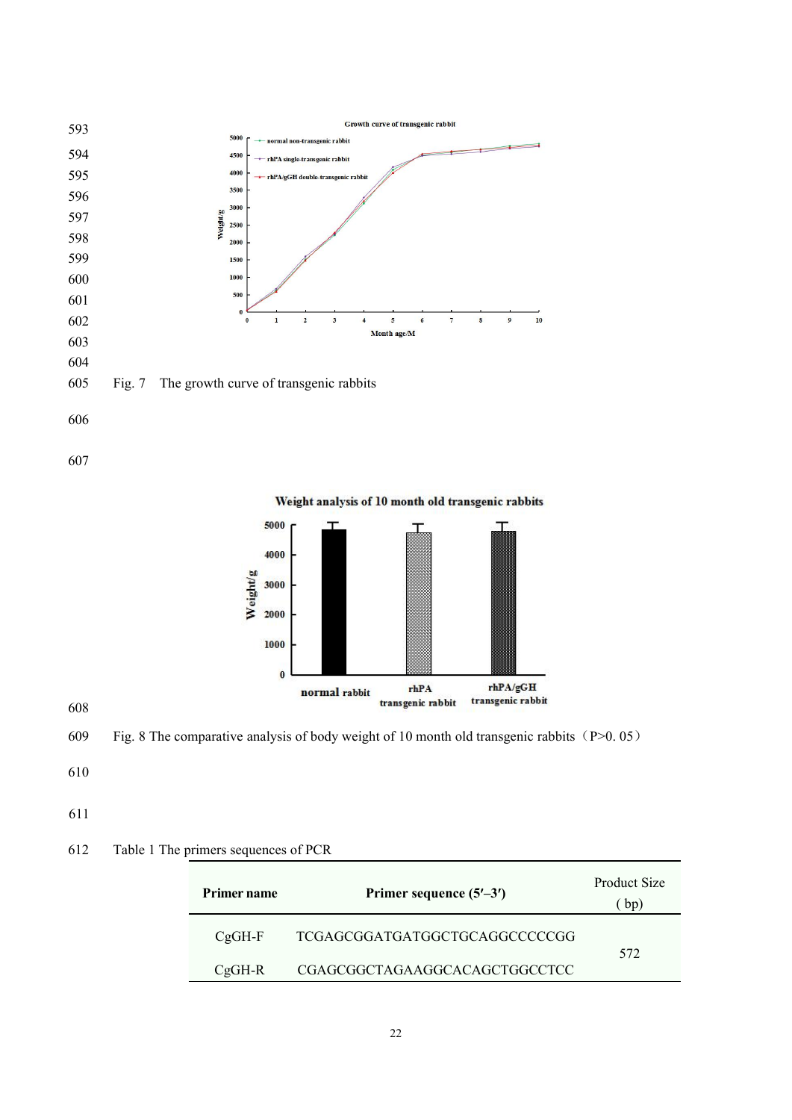

Weight analysis of 10 month old transgenic rabbits 



609 Fig. 8 The comparative analysis of body weight of 10 month old transgenic rabbits (P $>0.05$ )

- 
- 

# 612 Table 1 The primers sequences of PCR

| <b>Primer name</b> | Primer sequence $(5'–3')$     | Product Size<br>bp) |
|--------------------|-------------------------------|---------------------|
| $CgGH-F$           | TCGAGCGGATGATGGCTGCAGGCCCCCGG | 572                 |
| $CgGH-R$           | CGAGCGGCTAGAAGGCACAGCTGGCCTCC |                     |